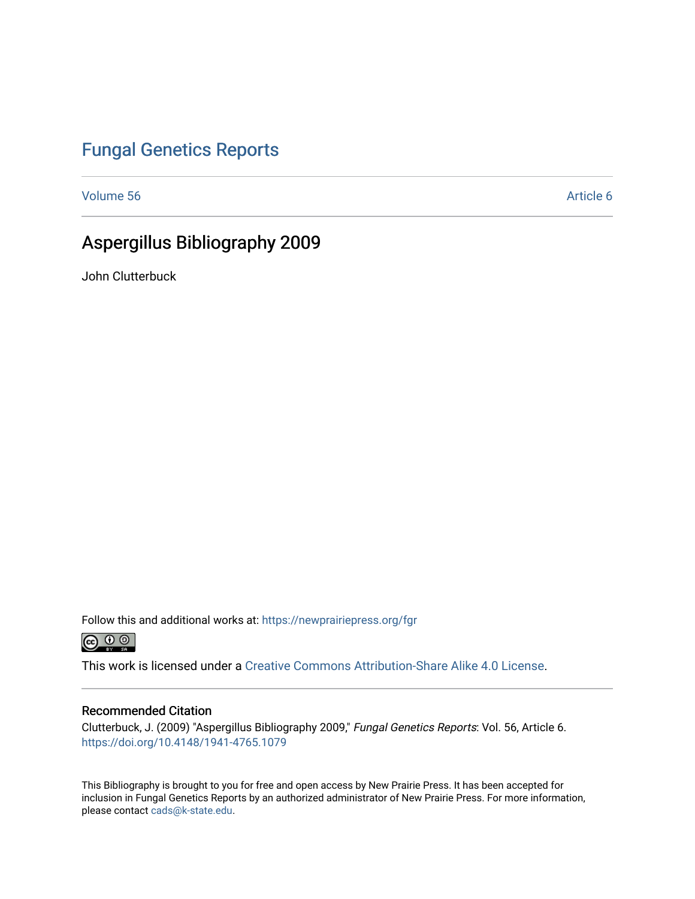# [Fungal Genetics Reports](https://newprairiepress.org/fgr)

[Volume 56](https://newprairiepress.org/fgr/vol56) Article 6

# Aspergillus Bibliography 2009

John Clutterbuck

Follow this and additional works at: [https://newprairiepress.org/fgr](https://newprairiepress.org/fgr?utm_source=newprairiepress.org%2Ffgr%2Fvol56%2Fiss1%2F6&utm_medium=PDF&utm_campaign=PDFCoverPages) 



This work is licensed under a [Creative Commons Attribution-Share Alike 4.0 License.](https://creativecommons.org/licenses/by-sa/4.0/)

#### Recommended Citation

Clutterbuck, J. (2009) "Aspergillus Bibliography 2009," Fungal Genetics Reports: Vol. 56, Article 6. <https://doi.org/10.4148/1941-4765.1079>

This Bibliography is brought to you for free and open access by New Prairie Press. It has been accepted for inclusion in Fungal Genetics Reports by an authorized administrator of New Prairie Press. For more information, please contact [cads@k-state.edu.](mailto:cads@k-state.edu)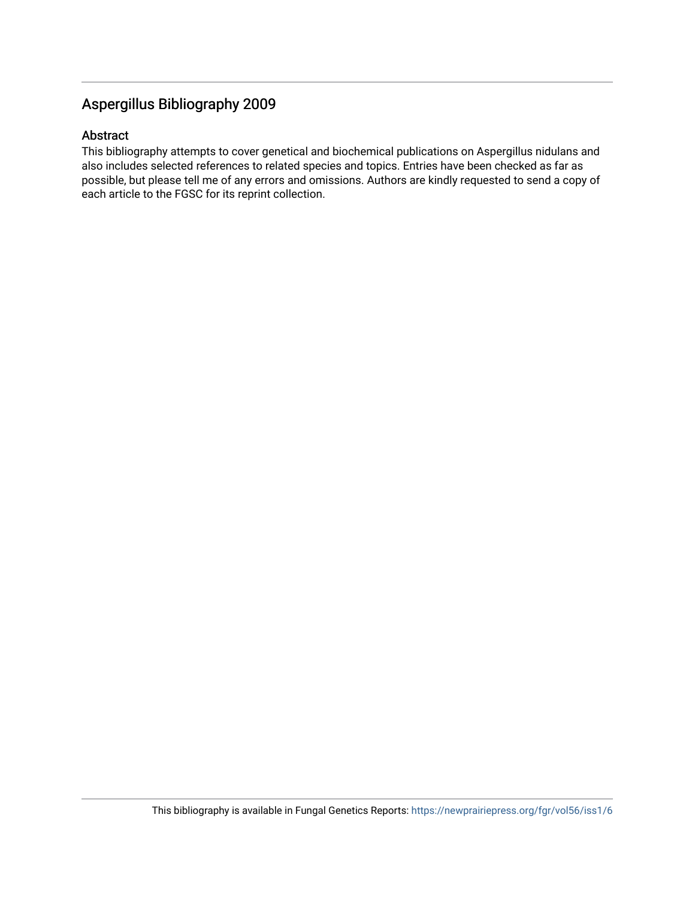# Aspergillus Bibliography 2009

## Abstract

This bibliography attempts to cover genetical and biochemical publications on Aspergillus nidulans and also includes selected references to related species and topics. Entries have been checked as far as possible, but please tell me of any errors and omissions. Authors are kindly requested to send a copy of each article to the FGSC for its reprint collection.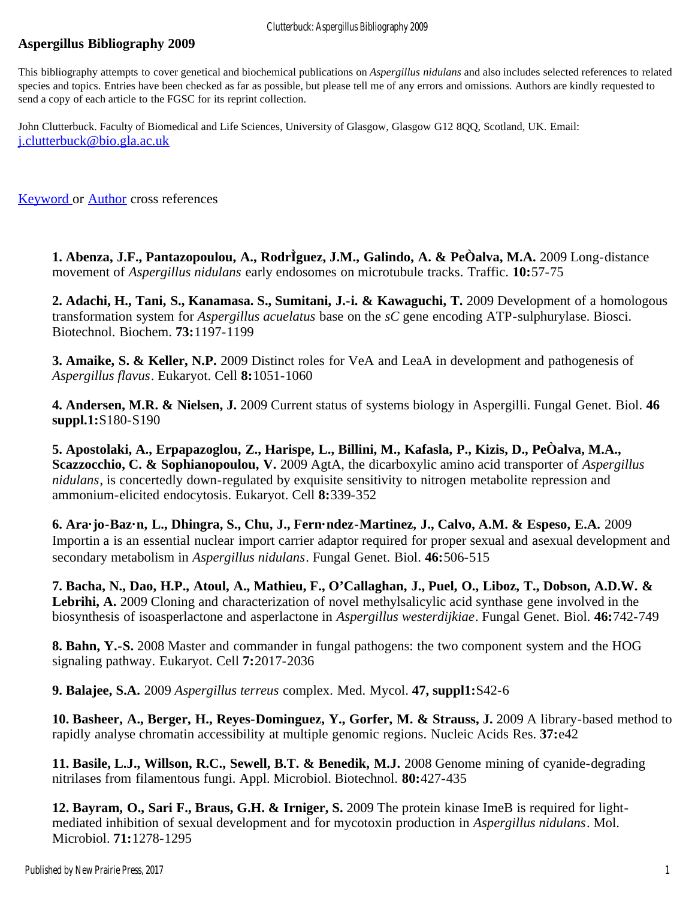# <span id="page-2-0"></span>**Aspergillus Bibliography 2009**

This bibliography attempts to cover genetical and biochemical publications on *Aspergillus nidulans* and also includes selected references to related species and topics. Entries have been checked as far as possible, but please tell me of any errors and omissions. Authors are kindly requested to send a copy of each article to the FGSC for its reprint collection.

John Clutterbuck. Faculty of Biomedical and Life Sciences, University of Glasgow, Glasgow G12 8QQ, Scotland, UK. Email: [j.clutterbuck@bio.gla.ac.uk](mailto:j.clutterbuck@bio.gla.ac.uk)

[Keyword](#page-13-0) or [Author](#page-27-0) cross references

**1. Abenza, J.F., Pantazopoulou, A., RodrÌguez, J.M., Galindo, A. & PeÒalva, M.A.** 2009 Long-distance movement of *Aspergillus nidulans* early endosomes on microtubule tracks. Traffic. **10:**57-75

**2. Adachi, H., Tani, S., Kanamasa. S., Sumitani, J.-i. & Kawaguchi, T.** 2009 Development of a homologous transformation system for *Aspergillus acuelatus* base on the *sC* gene encoding ATP-sulphurylase. Biosci. Biotechnol. Biochem. **73:**1197-1199

**3. Amaike, S. & Keller, N.P.** 2009 Distinct roles for VeA and LeaA in development and pathogenesis of *Aspergillus flavus*. Eukaryot. Cell **8:**1051-1060

**4. Andersen, M.R. & Nielsen, J.** 2009 Current status of systems biology in Aspergilli. Fungal Genet. Biol. **46 suppl.1:**S180-S190

**5. Apostolaki, A., Erpapazoglou, Z., Harispe, L., Billini, M., Kafasla, P., Kizis, D., PeÒalva, M.A., Scazzocchio, C. & Sophianopoulou, V.** 2009 AgtA, the dicarboxylic amino acid transporter of *Aspergillus nidulans*, is concertedly down-regulated by exquisite sensitivity to nitrogen metabolite repression and ammonium-elicited endocytosis. Eukaryot. Cell **8:**339-352

**6. Ara·jo-Baz·n, L., Dhingra, S., Chu, J., Fern·ndez-Martinez, J., Calvo, A.M. & Espeso, E.A.** 2009 Importin a is an essential nuclear import carrier adaptor required for proper sexual and asexual development and secondary metabolism in *Aspergillus nidulans*. Fungal Genet. Biol. **46:**506-515

**7. Bacha, N., Dao, H.P., Atoul, A., Mathieu, F., O'Callaghan, J., Puel, O., Liboz, T., Dobson, A.D.W. &** Lebrihi, A. 2009 Cloning and characterization of novel methylsalicylic acid synthase gene involved in the biosynthesis of isoasperlactone and asperlactone in *Aspergillus westerdijkiae*. Fungal Genet. Biol. **46:**742-749

**8. Bahn, Y.-S.** 2008 Master and commander in fungal pathogens: the two component system and the HOG signaling pathway. Eukaryot. Cell **7:**2017-2036

**9. Balajee, S.A.** 2009 *Aspergillus terreus* complex. Med. Mycol. **47, suppl1:**S42-6

**10. Basheer, A., Berger, H., Reyes-Dominguez, Y., Gorfer, M. & Strauss, J.** 2009 A library-based method to rapidly analyse chromatin accessibility at multiple genomic regions. Nucleic Acids Res. **37:**e42

**11. Basile, L.J., Willson, R.C., Sewell, B.T. & Benedik, M.J.** 2008 Genome mining of cyanide-degrading nitrilases from filamentous fungi. Appl. Microbiol. Biotechnol. **80:**427-435

**12. Bayram, O., Sari F., Braus, G.H. & Irniger, S.** 2009 The protein kinase ImeB is required for lightmediated inhibition of sexual development and for mycotoxin production in *Aspergillus nidulans*. Mol. Microbiol. **71:**1278-1295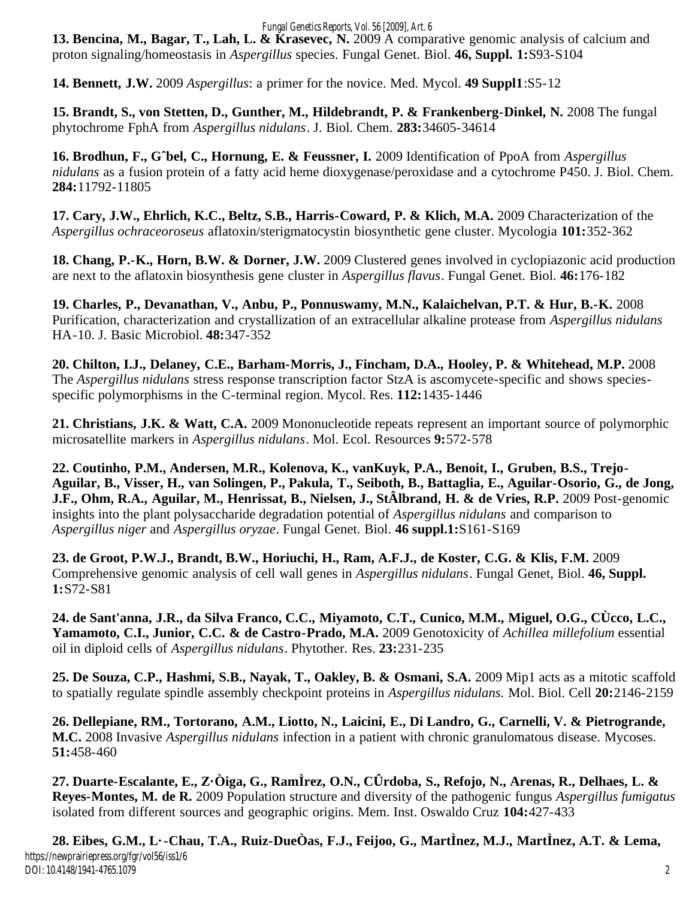#### *Fungal Genetics Reports, Vol. 56 [2009], Art. 6*

**13. Bencina, M., Bagar, T., Lah, L. & Krasevec, N.** 2009 A comparative genomic analysis of calcium and proton signaling/homeostasis in *Aspergillus* species. Fungal Genet. Biol. **46, Suppl. 1:**S93-S104

**14. Bennett, J.W.** 2009 *Aspergillus*: a primer for the novice. Med. Mycol. **49 Suppl1**:S5-12

15. Brandt, S., von Stetten, D., Gunther, M., Hildebrandt, P. & Frankenberg-Dinkel, N. 2008 The fungal phytochrome FphA from *Aspergillus nidulans*. J. Biol. Chem. **283:**34605-34614

**16. Brodhun, F., Gˆbel, C., Hornung, E. & Feussner, I.** 2009 Identification of PpoA from *Aspergillus nidulans* as a fusion protein of a fatty acid heme dioxygenase/peroxidase and a cytochrome P450. J. Biol. Chem. **284:**11792-11805

**17. Cary, J.W., Ehrlich, K.C., Beltz, S.B., Harris-Coward, P. & Klich, M.A.** 2009 Characterization of the *Aspergillus ochraceoroseus* aflatoxin/sterigmatocystin biosynthetic gene cluster. Mycologia **101:**352-362

**18. Chang, P.-K., Horn, B.W. & Dorner, J.W.** 2009 Clustered genes involved in cyclopiazonic acid production are next to the aflatoxin biosynthesis gene cluster in *Aspergillus flavus*. Fungal Genet. Biol. **46:**176-182

**19. Charles, P., Devanathan, V., Anbu, P., Ponnuswamy, M.N., Kalaichelvan, P.T. & Hur, B.-K.** 2008 Purification, characterization and crystallization of an extracellular alkaline protease from *Aspergillus nidulans* HA-10. J. Basic Microbiol. **48:**347-352

**20. Chilton, I.J., Delaney, C.E., Barham-Morris, J., Fincham, D.A., Hooley, P. & Whitehead, M.P.** 2008 The *Aspergillus nidulans* stress response transcription factor StzA is ascomycete-specific and shows speciesspecific polymorphisms in the C-terminal region. Mycol. Res. **112:**1435-1446

**21. Christians, J.K. & Watt, C.A.** 2009 Mononucleotide repeats represent an important source of polymorphic microsatellite markers in *Aspergillus nidulans*. Mol. Ecol. Resources **9:**572-578

**22. Coutinho, P.M., Andersen, M.R., Kolenova, K., vanKuyk, P.A., Benoit, I., Gruben, B.S., Trejo-Aguilar, B., Visser, H., van Solingen, P., Pakula, T., Seiboth, B., Battaglia, E., Aguilar-Osorio, G., de Jong, J.F., Ohm, R.A., Aguilar, M., Henrissat, B., Nielsen, J., StÂlbrand, H. & de Vries, R.P.** 2009 Post-genomic insights into the plant polysaccharide degradation potential of *Aspergillus nidulans* and comparison to *Aspergillus niger* and *Aspergillus oryzae*. Fungal Genet. Biol. **46 suppl.1:**S161-S169

**23. de Groot, P.W.J., Brandt, B.W., Horiuchi, H., Ram, A.F.J., de Koster, C.G. & Klis, F.M.** 2009 Comprehensive genomic analysis of cell wall genes in *Aspergillus nidulans*. Fungal Genet, Biol. **46, Suppl. 1:**S72-S81

**24. de Sant'anna, J.R., da Silva Franco, C.C., Miyamoto, C.T., Cunico, M.M., Miguel, O.G., CÙcco, L.C., Yamamoto, C.I., Junior, C.C. & de Castro-Prado, M.A.** 2009 Genotoxicity of *Achillea millefolium* essential oil in diploid cells of *Aspergillus nidulans*. Phytother. Res. **23:**231-235

**25. De Souza, C.P., Hashmi, S.B., Nayak, T., Oakley, B. & Osmani, S.A.** 2009 Mip1 acts as a mitotic scaffold to spatially regulate spindle assembly checkpoint proteins in *Aspergillus nidulans.* Mol. Biol. Cell **20:**2146-2159

**26. Dellepiane, RM., Tortorano, A.M., Liotto, N., Laicini, E., Di Landro, G., Carnelli, V. & Pietrogrande, M.C.** 2008 Invasive *Aspergillus nidulans* infection in a patient with chronic granulomatous disease. Mycoses. **51:**458-460

**27. Duarte-Escalante, E., Z·Òiga, G., RamÌrez, O.N., CÛrdoba, S., Refojo, N., Arenas, R., Delhaes, L. & Reyes-Montes, M. de R.** 2009 Population structure and diversity of the pathogenic fungus *Aspergillus fumigatus* isolated from different sources and geographic origins. Mem. Inst. Oswaldo Cruz **104:**427-433

2

**28. Eibes, G.M., L·-Chau, T.A., Ruiz-DueÒas, F.J., Feijoo, G., MartÌnez, M.J., MartÌnez, A.T. & Lema,** https://newprairiepress.org/fgr/vol56/iss1/6 DOI: 10.4148/1941-4765.1079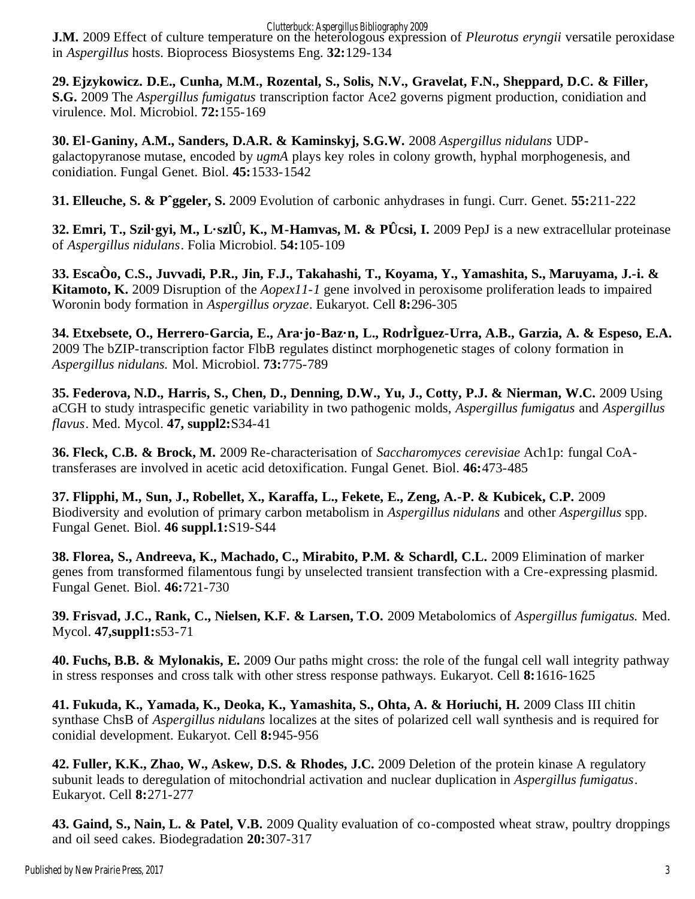Clutterbuck: Aspergillus Bibliography 2009

**J.M.** 2009 Effect of culture temperature on the heterologous expression of *Pleurotus eryngii* versatile peroxidase in *Aspergillus* hosts. Bioprocess Biosystems Eng. **32:**129-134

**29. Ejzykowicz. D.E., Cunha, M.M., Rozental, S., Solis, N.V., Gravelat, F.N., Sheppard, D.C. & Filler, S.G.** 2009 The *Aspergillus fumigatus* transcription factor Ace2 governs pigment production, conidiation and virulence. Mol. Microbiol. **72:**155-169

**30. El-Ganiny, A.M., Sanders, D.A.R. & Kaminskyj, S.G.W.** 2008 *Aspergillus nidulans* UDPgalactopyranose mutase, encoded by *ugmA* plays key roles in colony growth, hyphal morphogenesis, and conidiation. Fungal Genet. Biol. **45:**1533-1542

**31. Elleuche, S. & Pˆggeler, S.** 2009 Evolution of carbonic anhydrases in fungi. Curr. Genet. **55:**211-222

**32. Emri, T., Szil·gyi, M., L·szlÛ, K., M-Hamvas, M. & PÛcsi, I.** 2009 PepJ is a new extracellular proteinase of *Aspergillus nidulans*. Folia Microbiol. **54:**105-109

**33. EscaÒo, C.S., Juvvadi, P.R., Jin, F.J., Takahashi, T., Koyama, Y., Yamashita, S., Maruyama, J.-i. & Kitamoto, K.** 2009 Disruption of the *Aopex11-1* gene involved in peroxisome proliferation leads to impaired Woronin body formation in *Aspergillus oryzae*. Eukaryot. Cell **8:**296-305

**34. Etxebsete, O., Herrero-Garcia, E., Ara·jo-Baz·n, L., RodrÌguez-Urra, A.B., Garzia, A. & Espeso, E.A.** 2009 The bZIP-transcription factor FlbB regulates distinct morphogenetic stages of colony formation in *Aspergillus nidulans.* Mol. Microbiol. **73:**775-789

**35. Federova, N.D., Harris, S., Chen, D., Denning, D.W., Yu, J., Cotty, P.J. & Nierman, W.C.** 2009 Using aCGH to study intraspecific genetic variability in two pathogenic molds, *Aspergillus fumigatus* and *Aspergillus flavus*. Med. Mycol. **47, suppl2:**S34-41

**36. Fleck, C.B. & Brock, M.** 2009 Re-characterisation of *Saccharomyces cerevisiae* Ach1p: fungal CoAtransferases are involved in acetic acid detoxification. Fungal Genet. Biol. **46:**473-485

**37. Flipphi, M., Sun, J., Robellet, X., Karaffa, L., Fekete, E., Zeng, A.-P. & Kubicek, C.P.** 2009 Biodiversity and evolution of primary carbon metabolism in *Aspergillus nidulans* and other *Aspergillus* spp. Fungal Genet. Biol. **46 suppl.1:**S19-S44

**38. Florea, S., Andreeva, K., Machado, C., Mirabito, P.M. & Schardl, C.L.** 2009 Elimination of marker genes from transformed filamentous fungi by unselected transient transfection with a Cre-expressing plasmid. Fungal Genet. Biol. **46:**721-730

**39. Frisvad, J.C., Rank, C., Nielsen, K.F. & Larsen, T.O.** 2009 Metabolomics of *Aspergillus fumigatus.* Med. Mycol. **47,suppl1:**s53-71

**40. Fuchs, B.B. & Mylonakis, E.** 2009 Our paths might cross: the role of the fungal cell wall integrity pathway in stress responses and cross talk with other stress response pathways. Eukaryot. Cell **8:**1616-1625

**41. Fukuda, K., Yamada, K., Deoka, K., Yamashita, S., Ohta, A. & Horiuchi, H.** 2009 Class III chitin synthase ChsB of *Aspergillus nidulans* localizes at the sites of polarized cell wall synthesis and is required for conidial development. Eukaryot. Cell **8:**945-956

**42. Fuller, K.K., Zhao, W., Askew, D.S. & Rhodes, J.C.** 2009 Deletion of the protein kinase A regulatory subunit leads to deregulation of mitochondrial activation and nuclear duplication in *Aspergillus fumigatus*. Eukaryot. Cell **8:**271-277

**43. Gaind, S., Nain, L. & Patel, V.B.** 2009 Quality evaluation of co-composted wheat straw, poultry droppings and oil seed cakes. Biodegradation **20:**307-317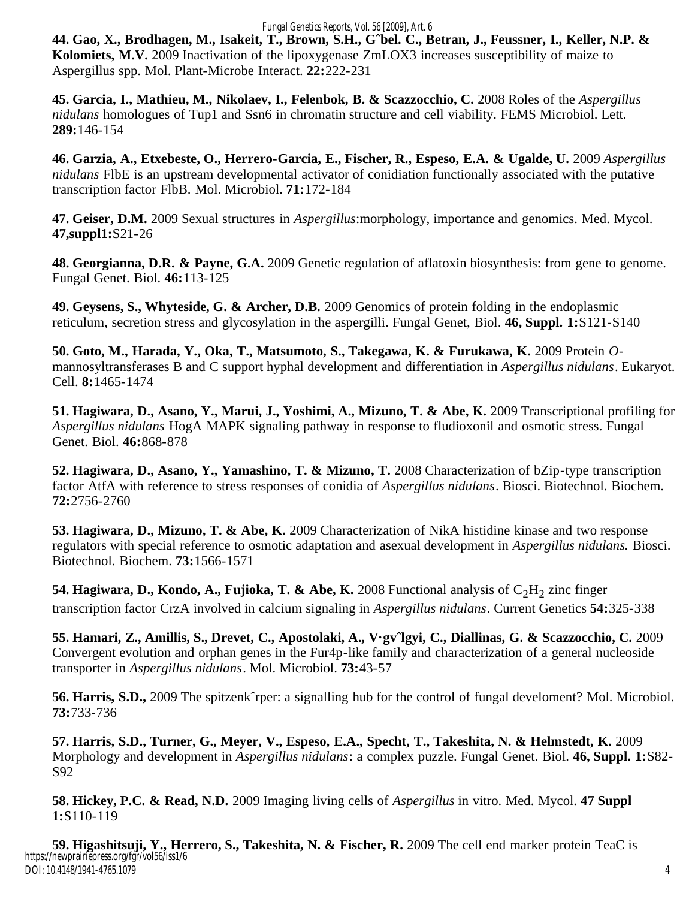#### *Fungal Genetics Reports, Vol. 56 [2009], Art. 6*

**44. Gao, X., Brodhagen, M., Isakeit, T., Brown, S.H., Gˆbel. C., Betran, J., Feussner, I., Keller, N.P. & Kolomiets, M.V.** 2009 Inactivation of the lipoxygenase ZmLOX3 increases susceptibility of maize to Aspergillus spp. Mol. Plant-Microbe Interact. **22:**222-231

**45. Garcia, I., Mathieu, M., Nikolaev, I., Felenbok, B. & Scazzocchio, C.** 2008 Roles of the *Aspergillus nidulans* homologues of Tup1 and Ssn6 in chromatin structure and cell viability. FEMS Microbiol. Lett. **289:**146-154

**46. Garzia, A., Etxebeste, O., Herrero-Garcia, E., Fischer, R., Espeso, E.A. & Ugalde, U.** 2009 *Aspergillus nidulans* FlbE is an upstream developmental activator of conidiation functionally associated with the putative transcription factor FlbB. Mol. Microbiol. **71:**172-184

**47. Geiser, D.M.** 2009 Sexual structures in *Aspergillus*:morphology, importance and genomics. Med. Mycol. **47,suppl1:**S21-26

**48. Georgianna, D.R. & Payne, G.A.** 2009 Genetic regulation of aflatoxin biosynthesis: from gene to genome. Fungal Genet. Biol. **46:**113-125

**49. Geysens, S., Whyteside, G. & Archer, D.B.** 2009 Genomics of protein folding in the endoplasmic reticulum, secretion stress and glycosylation in the aspergilli. Fungal Genet, Biol. **46, Suppl. 1:**S121-S140

**50. Goto, M., Harada, Y., Oka, T., Matsumoto, S., Takegawa, K. & Furukawa, K.** 2009 Protein *O*mannosyltransferases B and C support hyphal development and differentiation in *Aspergillus nidulans*. Eukaryot. Cell. **8:**1465-1474

**51. Hagiwara, D., Asano, Y., Marui, J., Yoshimi, A., Mizuno, T. & Abe, K.** 2009 Transcriptional profiling for *Aspergillus nidulans* HogA MAPK signaling pathway in response to fludioxonil and osmotic stress. Fungal Genet. Biol. **46:**868-878

**52. Hagiwara, D., Asano, Y., Yamashino, T. & Mizuno, T.** 2008 Characterization of bZip-type transcription factor AtfA with reference to stress responses of conidia of *Aspergillus nidulans*. Biosci. Biotechnol. Biochem. **72:**2756-2760

**53. Hagiwara, D., Mizuno, T. & Abe, K.** 2009 Characterization of NikA histidine kinase and two response regulators with special reference to osmotic adaptation and asexual development in *Aspergillus nidulans.* Biosci. Biotechnol. Biochem. **73:**1566-1571

**54. Hagiwara, D., Kondo, A., Fujioka, T. & Abe, K.** 2008 Functional analysis of  $C_2H_2$  zinc finger transcription factor CrzA involved in calcium signaling in *Aspergillus nidulans*. Current Genetics **54:**325-338

**55. Hamari, Z., Amillis, S., Drevet, C., Apostolaki, A., V·gvˆlgyi, C., Diallinas, G. & Scazzocchio, C.** 2009 Convergent evolution and orphan genes in the Fur4p-like family and characterization of a general nucleoside transporter in *Aspergillus nidulans*. Mol. Microbiol. **73:**43-57

**56. Harris, S.D.,** 2009 The spitzenkˆrper: a signalling hub for the control of fungal develoment? Mol. Microbiol. **73:**733-736

**57. Harris, S.D., Turner, G., Meyer, V., Espeso, E.A., Specht, T., Takeshita, N. & Helmstedt, K.** 2009 Morphology and development in *Aspergillus nidulans*: a complex puzzle. Fungal Genet. Biol. **46, Suppl. 1:**S82- S92

**58. Hickey, P.C. & Read, N.D.** 2009 Imaging living cells of *Aspergillus* in vitro. Med. Mycol. **47 Suppl 1:**S110-119

**59. Higashitsuji, Y., Herrero, S., Takeshita, N. & Fischer, R.** 2009 The cell end marker protein TeaC is https://newprairiepress.org/fgr/vol56/iss1/6 DOI: 10.4148/1941-4765.1079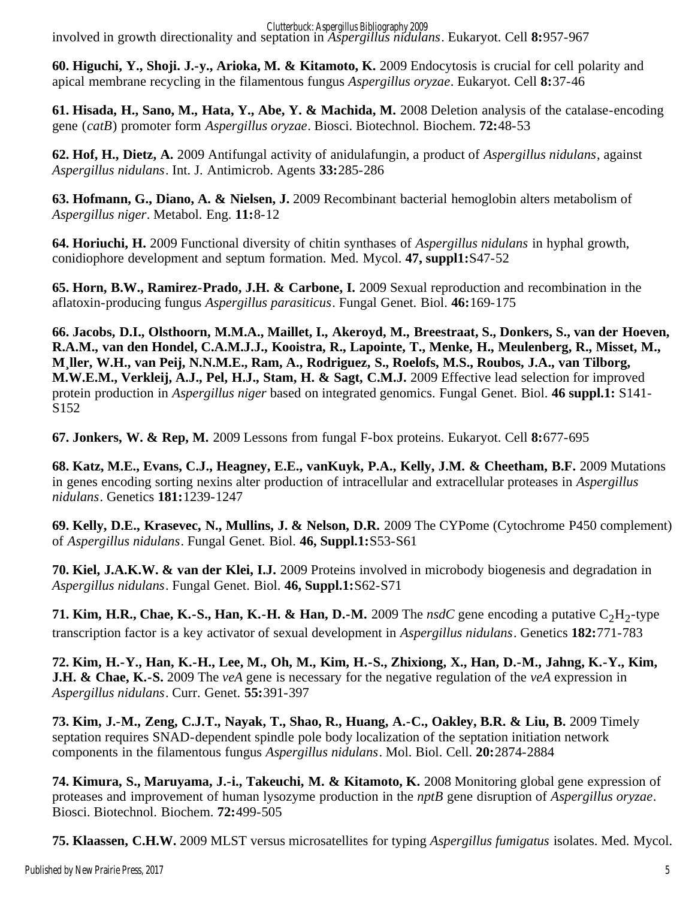Clutterbuck: Aspergillus Bibliography 2009

involved in growth directionality and septation in *Aspergillus nidulans*. Eukaryot. Cell **8:**957-967

**60. Higuchi, Y., Shoji. J.-y., Arioka, M. & Kitamoto, K.** 2009 Endocytosis is crucial for cell polarity and apical membrane recycling in the filamentous fungus *Aspergillus oryzae*. Eukaryot. Cell **8:**37-46

**61. Hisada, H., Sano, M., Hata, Y., Abe, Y. & Machida, M.** 2008 Deletion analysis of the catalase-encoding gene (*catB*) promoter form *Aspergillus oryzae*. Biosci. Biotechnol. Biochem. **72:**48-53

**62. Hof, H., Dietz, A.** 2009 Antifungal activity of anidulafungin, a product of *Aspergillus nidulans*, against *Aspergillus nidulans*. Int. J. Antimicrob. Agents **33:**285-286

**63. Hofmann, G., Diano, A. & Nielsen, J.** 2009 Recombinant bacterial hemoglobin alters metabolism of *Aspergillus niger*. Metabol. Eng. **11:**8-12

**64. Horiuchi, H.** 2009 Functional diversity of chitin synthases of *Aspergillus nidulans* in hyphal growth, conidiophore development and septum formation. Med. Mycol. **47, suppl1:**S47-52

**65. Horn, B.W., Ramirez-Prado, J.H. & Carbone, I.** 2009 Sexual reproduction and recombination in the aflatoxin-producing fungus *Aspergillus parasiticus*. Fungal Genet. Biol. **46:**169-175

**66. Jacobs, D.I., Olsthoorn, M.M.A., Maillet, I., Akeroyd, M., Breestraat, S., Donkers, S., van der Hoeven, R.A.M., van den Hondel, C.A.M.J.J., Kooistra, R., Lapointe, T., Menke, H., Meulenberg, R., Misset, M., M¸ller, W.H., van Peij, N.N.M.E., Ram, A., Rodriguez, S., Roelofs, M.S., Roubos, J.A., van Tilborg, M.W.E.M., Verkleij, A.J., Pel, H.J., Stam, H. & Sagt, C.M.J.** 2009 Effective lead selection for improved protein production in *Aspergillus niger* based on integrated genomics. Fungal Genet. Biol. **46 suppl.1:** S141- S152

**67. Jonkers, W. & Rep, M.** 2009 Lessons from fungal F-box proteins. Eukaryot. Cell **8:**677-695

**68. Katz, M.E., Evans, C.J., Heagney, E.E., vanKuyk, P.A., Kelly, J.M. & Cheetham, B.F.** 2009 Mutations in genes encoding sorting nexins alter production of intracellular and extracellular proteases in *Aspergillus nidulans*. Genetics **181:**1239-1247

**69. Kelly, D.E., Krasevec, N., Mullins, J. & Nelson, D.R.** 2009 The CYPome (Cytochrome P450 complement) of *Aspergillus nidulans*. Fungal Genet. Biol. **46, Suppl.1:**S53-S61

**70. Kiel, J.A.K.W. & van der Klei, I.J.** 2009 Proteins involved in microbody biogenesis and degradation in *Aspergillus nidulans*. Fungal Genet. Biol. **46, Suppl.1:**S62-S71

**71. Kim, H.R., Chae, K.-S., Han, K.-H. & Han, D.-M.** 2009 The  $nsdC$  gene encoding a putative  $C_2H_2$ -type transcription factor is a key activator of sexual development in *Aspergillus nidulans*. Genetics **182:**771-783

**72. Kim, H.-Y., Han, K.-H., Lee, M., Oh, M., Kim, H.-S., Zhixiong, X., Han, D.-M., Jahng, K.-Y., Kim, J.H. & Chae, K.-S.** 2009 The *veA* gene is necessary for the negative regulation of the *veA* expression in *Aspergillus nidulans*. Curr. Genet. **55:**391-397

**73. Kim, J.-M., Zeng, C.J.T., Nayak, T., Shao, R., Huang, A.-C., Oakley, B.R. & Liu, B.** 2009 Timely septation requires SNAD-dependent spindle pole body localization of the septation initiation network components in the filamentous fungus *Aspergillus nidulans*. Mol. Biol. Cell. **20:**2874-2884

**74. Kimura, S., Maruyama, J.-i., Takeuchi, M. & Kitamoto, K.** 2008 Monitoring global gene expression of proteases and improvement of human lysozyme production in the *nptB* gene disruption of *Aspergillus oryzae*. Biosci. Biotechnol. Biochem. **72:**499-505

**75. Klaassen, C.H.W.** 2009 MLST versus microsatellites for typing *Aspergillus fumigatus* isolates. Med. Mycol.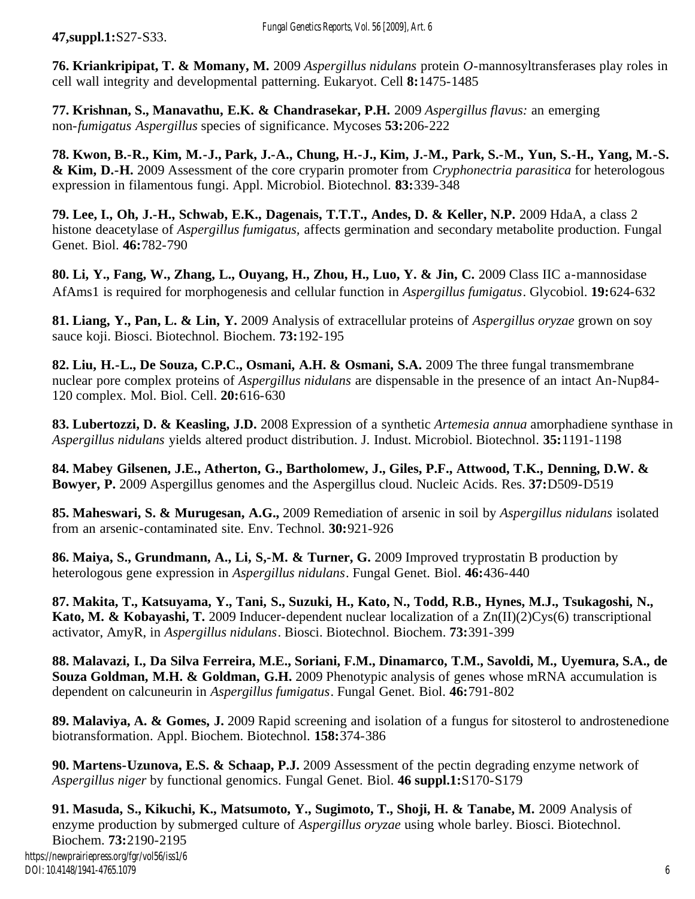**47,suppl.1:**S27-S33.

**76. Kriankripipat, T. & Momany, M.** 2009 *Aspergillus nidulans* protein *O*-mannosyltransferases play roles in cell wall integrity and developmental patterning. Eukaryot. Cell **8:**1475-1485

**77. Krishnan, S., Manavathu, E.K. & Chandrasekar, P.H.** 2009 *Aspergillus flavus:* an emerging non-*fumigatus Aspergillus* species of significance. Mycoses **53:**206-222

**78. Kwon, B.-R., Kim, M.-J., Park, J.-A., Chung, H.-J., Kim, J.-M., Park, S.-M., Yun, S.-H., Yang, M.-S. & Kim, D.-H.** 2009 Assessment of the core cryparin promoter from *Cryphonectria parasitica* for heterologous expression in filamentous fungi. Appl. Microbiol. Biotechnol. **83:**339-348

**79. Lee, I., Oh, J.-H., Schwab, E.K., Dagenais, T.T.T., Andes, D. & Keller, N.P.** 2009 HdaA, a class 2 histone deacetylase of *Aspergillus fumigatus,* affects germination and secondary metabolite production. Fungal Genet. Biol. **46:**782-790

**80. Li, Y., Fang, W., Zhang, L., Ouyang, H., Zhou, H., Luo, Y. & Jin, C.** 2009 Class IIC a-mannosidase AfAms1 is required for morphogenesis and cellular function in *Aspergillus fumigatus*. Glycobiol. **19:**624-632

**81. Liang, Y., Pan, L. & Lin, Y.** 2009 Analysis of extracellular proteins of *Aspergillus oryzae* grown on soy sauce koji. Biosci. Biotechnol. Biochem. **73:**192-195

**82. Liu, H.-L., De Souza, C.P.C., Osmani, A.H. & Osmani, S.A.** 2009 The three fungal transmembrane nuclear pore complex proteins of *Aspergillus nidulans* are dispensable in the presence of an intact An-Nup84- 120 complex. Mol. Biol. Cell. **20:**616-630

**83. Lubertozzi, D. & Keasling, J.D.** 2008 Expression of a synthetic *Artemesia annua* amorphadiene synthase in *Aspergillus nidulans* yields altered product distribution. J. Indust. Microbiol. Biotechnol. **35:**1191-1198

**84. Mabey Gilsenen, J.E., Atherton, G., Bartholomew, J., Giles, P.F., Attwood, T.K., Denning, D.W. & Bowyer, P.** 2009 Aspergillus genomes and the Aspergillus cloud. Nucleic Acids. Res. **37:**D509-D519

**85. Maheswari, S. & Murugesan, A.G.,** 2009 Remediation of arsenic in soil by *Aspergillus nidulans* isolated from an arsenic-contaminated site. Env. Technol. **30:**921-926

**86. Maiya, S., Grundmann, A., Li, S,-M. & Turner, G.** 2009 Improved tryprostatin B production by heterologous gene expression in *Aspergillus nidulans*. Fungal Genet. Biol. **46:**436-440

**87. Makita, T., Katsuyama, Y., Tani, S., Suzuki, H., Kato, N., Todd, R.B., Hynes, M.J., Tsukagoshi, N., Kato, M. & Kobayashi, T.** 2009 Inducer-dependent nuclear localization of a Zn(II)(2)Cys(6) transcriptional activator, AmyR, in *Aspergillus nidulans*. Biosci. Biotechnol. Biochem. **73:**391-399

**88. Malavazi, I., Da Silva Ferreira, M.E., Soriani, F.M., Dinamarco, T.M., Savoldi, M., Uyemura, S.A., de Souza Goldman, M.H. & Goldman, G.H.** 2009 Phenotypic analysis of genes whose mRNA accumulation is dependent on calcuneurin in *Aspergillus fumigatus*. Fungal Genet. Biol. **46:**791-802

**89. Malaviya, A. & Gomes, J.** 2009 Rapid screening and isolation of a fungus for sitosterol to androstenedione biotransformation. Appl. Biochem. Biotechnol. **158:**374-386

**90. Martens-Uzunova, E.S. & Schaap, P.J.** 2009 Assessment of the pectin degrading enzyme network of *Aspergillus niger* by functional genomics. Fungal Genet. Biol. **46 suppl.1:**S170-S179

**91. Masuda, S., Kikuchi, K., Matsumoto, Y., Sugimoto, T., Shoji, H. & Tanabe, M.** 2009 Analysis of enzyme production by submerged culture of *Aspergillus oryzae* using whole barley. Biosci. Biotechnol. Biochem. **73:**2190-2195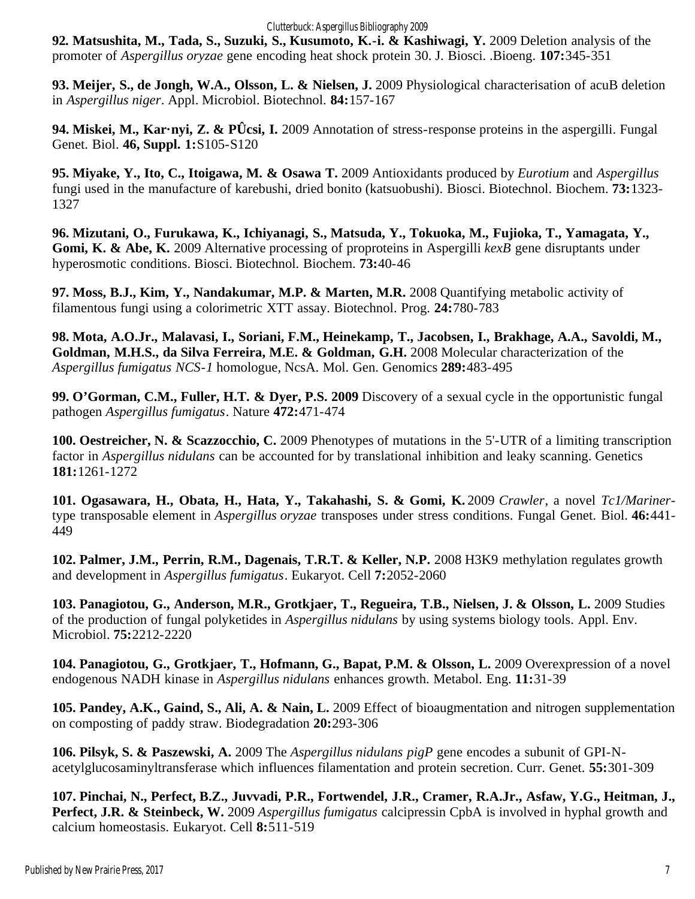#### Clutterbuck: Aspergillus Bibliography 2009

**92***.* **Matsushita, M., Tada, S., Suzuki, S., Kusumoto, K.-i. & Kashiwagi, Y.** 2009 Deletion analysis of the promoter of *Aspergillus oryzae* gene encoding heat shock protein 30. J. Biosci. .Bioeng. **107:**345-351

**93. Meijer, S., de Jongh, W.A., Olsson, L. & Nielsen, J.** 2009 Physiological characterisation of acuB deletion in *Aspergillus niger*. Appl. Microbiol. Biotechnol. **84:**157-167

**94. Miskei, M., Kar·nyi, Z. & PÛcsi, I.** 2009 Annotation of stress-response proteins in the aspergilli. Fungal Genet. Biol. **46, Suppl. 1:**S105-S120

**95. Miyake, Y., Ito, C., Itoigawa, M. & Osawa T.** 2009 Antioxidants produced by *Eurotium* and *Aspergillus* fungi used in the manufacture of karebushi, dried bonito (katsuobushi). Biosci. Biotechnol. Biochem. **73:**1323- 1327

**96. Mizutani, O., Furukawa, K., Ichiyanagi, S., Matsuda, Y., Tokuoka, M., Fujioka, T., Yamagata, Y., Gomi, K. & Abe, K.** 2009 Alternative processing of proproteins in Aspergilli *kexB* gene disruptants under hyperosmotic conditions. Biosci. Biotechnol. Biochem. **73:**40-46

**97. Moss, B.J., Kim, Y., Nandakumar, M.P. & Marten, M.R.** 2008 Quantifying metabolic activity of filamentous fungi using a colorimetric XTT assay. Biotechnol. Prog. **24:**780-783

**98. Mota, A.O.Jr., Malavasi, I., Soriani, F.M., Heinekamp, T., Jacobsen, I., Brakhage, A.A., Savoldi, M., Goldman, M.H.S., da Silva Ferreira, M.E. & Goldman, G.H.** 2008 Molecular characterization of the *Aspergillus fumigatus NCS-1* homologue, NcsA. Mol. Gen. Genomics **289:**483-495

**99. O'Gorman, C.M., Fuller, H.T. & Dyer, P.S. 2009** Discovery of a sexual cycle in the opportunistic fungal pathogen *Aspergillus fumigatus*. Nature **472:**471-474

**100. Oestreicher, N. & Scazzocchio, C.** 2009 Phenotypes of mutations in the 5'-UTR of a limiting transcription factor in *Aspergillus nidulans* can be accounted for by translational inhibition and leaky scanning. Genetics **181:**1261-1272

**101. Ogasawara, H., Obata, H., Hata, Y., Takahashi, S. & Gomi, K.** 2009 *Crawler*, a novel *Tc1/Mariner*type transposable element in *Aspergillus oryzae* transposes under stress conditions. Fungal Genet. Biol. **46:**441- 449

**102. Palmer, J.M., Perrin, R.M., Dagenais, T.R.T. & Keller, N.P.** 2008 H3K9 methylation regulates growth and development in *Aspergillus fumigatus*. Eukaryot. Cell **7:**2052-2060

**103. Panagiotou, G., Anderson, M.R., Grotkjaer, T., Regueira, T.B., Nielsen, J. & Olsson, L.** 2009 Studies of the production of fungal polyketides in *Aspergillus nidulans* by using systems biology tools. Appl. Env. Microbiol. **75:**2212-2220

**104. Panagiotou, G., Grotkjaer, T., Hofmann, G., Bapat, P.M. & Olsson, L.** 2009 Overexpression of a novel endogenous NADH kinase in *Aspergillus nidulans* enhances growth. Metabol. Eng. **11:**31-39

**105. Pandey, A.K., Gaind, S., Ali, A. & Nain, L.** 2009 Effect of bioaugmentation and nitrogen supplementation on composting of paddy straw. Biodegradation **20:**293-306

**106. Pilsyk, S. & Paszewski, A.** 2009 The *Aspergillus nidulans pigP* gene encodes a subunit of GPI-Nacetylglucosaminyltransferase which influences filamentation and protein secretion. Curr. Genet. **55:**301-309

**107. Pinchai, N., Perfect, B.Z., Juvvadi, P.R., Fortwendel, J.R., Cramer, R.A.Jr., Asfaw, Y.G., Heitman, J., Perfect, J.R. & Steinbeck, W.** 2009 *Aspergillus fumigatus* calcipressin CpbA is involved in hyphal growth and calcium homeostasis. Eukaryot. Cell **8:**511-519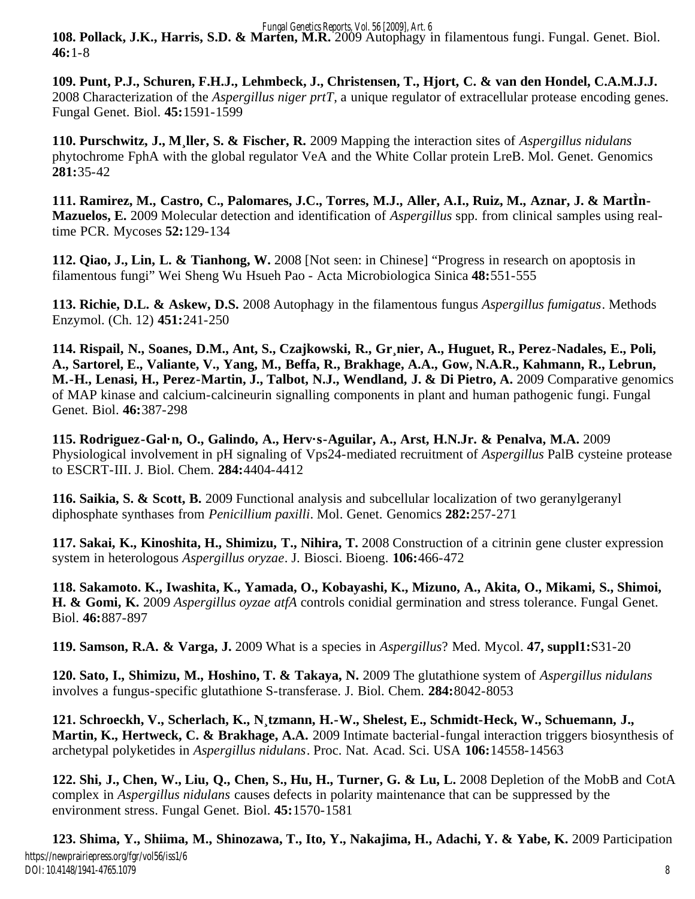*Fungal Genetics Reports, Vol. 56 [2009], Art. 6*

**108. Pollack, J.K., Harris, S.D. & Marten, M.R.** 2009 Autophagy in filamentous fungi. Fungal. Genet. Biol. **46:**1-8

**109. Punt, P.J., Schuren, F.H.J., Lehmbeck, J., Christensen, T., Hjort, C. & van den Hondel, C.A.M.J.J.** 2008 Characterization of the *Aspergillus niger prtT*, a unique regulator of extracellular protease encoding genes. Fungal Genet. Biol. **45:**1591-1599

**110. Purschwitz, J., M¸ller, S. & Fischer, R.** 2009 Mapping the interaction sites of *Aspergillus nidulans* phytochrome FphA with the global regulator VeA and the White Collar protein LreB. Mol. Genet. Genomics **281:**35-42

**111. Ramirez, M., Castro, C., Palomares, J.C., Torres, M.J., Aller, A.I., Ruiz, M., Aznar, J. & MartÌn-Mazuelos, E.** 2009 Molecular detection and identification of *Aspergillus* spp. from clinical samples using realtime PCR. Mycoses **52:**129-134

**112. Qiao, J., Lin, L. & Tianhong, W.** 2008 [Not seen: in Chinese] "Progress in research on apoptosis in filamentous fungi" Wei Sheng Wu Hsueh Pao - Acta Microbiologica Sinica **48:**551-555

**113. Richie, D.L. & Askew, D.S.** 2008 Autophagy in the filamentous fungus *Aspergillus fumigatus*. Methods Enzymol. (Ch. 12) **451:**241-250

**114. Rispail, N., Soanes, D.M., Ant, S., Czajkowski, R., Gr¸nier, A., Huguet, R., Perez-Nadales, E., Poli, A., Sartorel, E., Valiante, V., Yang, M., Beffa, R., Brakhage, A.A., Gow, N.A.R., Kahmann, R., Lebrun, M.-H., Lenasi, H., Perez-Martin, J., Talbot, N.J., Wendland, J. & Di Pietro, A.** 2009 Comparative genomics of MAP kinase and calcium-calcineurin signalling components in plant and human pathogenic fungi. Fungal Genet. Biol. **46:**387-298

**115. Rodriguez-Gal·n, O., Galindo, A., Herv·s-Aguilar, A., Arst, H.N.Jr. & Penalva, M.A.** 2009 Physiological involvement in pH signaling of Vps24-mediated recruitment of *Aspergillus* PalB cysteine protease to ESCRT-III. J. Biol. Chem. **284:**4404-4412

**116. Saikia, S. & Scott, B.** 2009 Functional analysis and subcellular localization of two geranylgeranyl diphosphate synthases from *Penicillium paxilli*. Mol. Genet. Genomics **282:**257-271

**117. Sakai, K., Kinoshita, H., Shimizu, T., Nihira, T.** 2008 Construction of a citrinin gene cluster expression system in heterologous *Aspergillus oryzae*. J. Biosci. Bioeng. **106:**466-472

**118. Sakamoto. K., Iwashita, K., Yamada, O., Kobayashi, K., Mizuno, A., Akita, O., Mikami, S., Shimoi, H. & Gomi, K.** 2009 *Aspergillus oyzae atfA* controls conidial germination and stress tolerance. Fungal Genet. Biol. **46:**887-897

**119. Samson, R.A. & Varga, J.** 2009 What is a species in *Aspergillus*? Med. Mycol. **47, suppl1:**S31-20

**120. Sato, I., Shimizu, M., Hoshino, T. & Takaya, N.** 2009 The glutathione system of *Aspergillus nidulans* involves a fungus-specific glutathione S-transferase. J. Biol. Chem. **284:**8042-8053

**121. Schroeckh, V., Scherlach, K., N¸tzmann, H.-W., Shelest, E., Schmidt-Heck, W., Schuemann, J., Martin, K., Hertweck, C. & Brakhage, A.A.** 2009 Intimate bacterial-fungal interaction triggers biosynthesis of archetypal polyketides in *Aspergillus nidulans*. Proc. Nat. Acad. Sci. USA **106:**14558-14563

**122. Shi, J., Chen, W., Liu, Q., Chen, S., Hu, H., Turner, G. & Lu, L.** 2008 Depletion of the MobB and CotA complex in *Aspergillus nidulans* causes defects in polarity maintenance that can be suppressed by the environment stress. Fungal Genet. Biol. **45:**1570-1581

**123. Shima, Y., Shiima, M., Shinozawa, T., Ito, Y., Nakajima, H., Adachi, Y. & Yabe, K.** 2009 Participation 8 https://newprairiepress.org/fgr/vol56/iss1/6 DOI: 10.4148/1941-4765.1079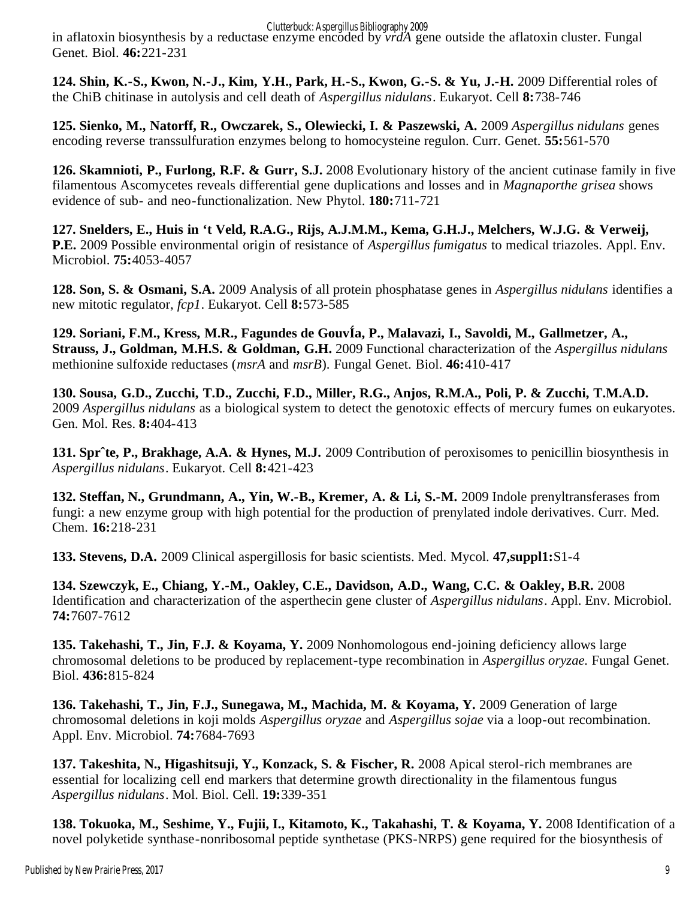Clutterbuck: Aspergillus Bibliography 2009

in aflatoxin biosynthesis by a reductase enzyme encoded by *vrdA* gene outside the aflatoxin cluster. Fungal Genet. Biol. **46:**221-231

**124. Shin, K.-S., Kwon, N.-J., Kim, Y.H., Park, H.-S., Kwon, G.-S. & Yu, J.-H.** 2009 Differential roles of the ChiB chitinase in autolysis and cell death of *Aspergillus nidulans*. Eukaryot. Cell **8:**738-746

**125. Sienko, M., Natorff, R., Owczarek, S., Olewiecki, I. & Paszewski, A.** 2009 *Aspergillus nidulans* genes encoding reverse transsulfuration enzymes belong to homocysteine regulon. Curr. Genet. **55:**561-570

**126. Skamnioti, P., Furlong, R.F. & Gurr, S.J.** 2008 Evolutionary history of the ancient cutinase family in five filamentous Ascomycetes reveals differential gene duplications and losses and in *Magnaporthe grisea* shows evidence of sub- and neo-functionalization. New Phytol. **180:**711-721

**127. Snelders, E., Huis in 't Veld, R.A.G., Rijs, A.J.M.M., Kema, G.H.J., Melchers, W.J.G. & Verweij, P.E.** 2009 Possible environmental origin of resistance of *Aspergillus fumigatus* to medical triazoles. Appl. Env. Microbiol. **75:**4053-4057

**128. Son, S. & Osmani, S.A.** 2009 Analysis of all protein phosphatase genes in *Aspergillus nidulans* identifies a new mitotic regulator, *fcp1*. Eukaryot. Cell **8:**573-585

**129. Soriani, F.M., Kress, M.R., Fagundes de GouvÍa, P., Malavazi, I., Savoldi, M., Gallmetzer, A., Strauss, J., Goldman, M.H.S. & Goldman, G.H.** 2009 Functional characterization of the *Aspergillus nidulans* methionine sulfoxide reductases (*msrA* and *msrB*). Fungal Genet. Biol. **46:**410-417

**130. Sousa, G.D., Zucchi, T.D., Zucchi, F.D., Miller, R.G., Anjos, R.M.A., Poli, P. & Zucchi, T.M.A.D.** 2009 *Aspergillus nidulans* as a biological system to detect the genotoxic effects of mercury fumes on eukaryotes. Gen. Mol. Res. **8:**404-413

**131. Sprˆte, P., Brakhage, A.A. & Hynes, M.J.** 2009 Contribution of peroxisomes to penicillin biosynthesis in *Aspergillus nidulans*. Eukaryot. Cell **8:**421-423

**132. Steffan, N., Grundmann, A., Yin, W.-B., Kremer, A. & Li, S.-M.** 2009 Indole prenyltransferases from fungi: a new enzyme group with high potential for the production of prenylated indole derivatives. Curr. Med. Chem. **16:**218-231

**133. Stevens, D.A.** 2009 Clinical aspergillosis for basic scientists. Med. Mycol. **47,suppl1:**S1-4

**134. Szewczyk, E., Chiang, Y.-M., Oakley, C.E., Davidson, A.D., Wang, C.C. & Oakley, B.R.** 2008 Identification and characterization of the asperthecin gene cluster of *Aspergillus nidulans*. Appl. Env. Microbiol. **74:**7607-7612

**135. Takehashi, T., Jin, F.J. & Koyama, Y.** 2009 Nonhomologous end-joining deficiency allows large chromosomal deletions to be produced by replacement-type recombination in *Aspergillus oryzae.* Fungal Genet. Biol. **436:**815-824

**136. Takehashi, T., Jin, F.J., Sunegawa, M., Machida, M. & Koyama, Y.** 2009 Generation of large chromosomal deletions in koji molds *Aspergillus oryzae* and *Aspergillus sojae* via a loop-out recombination. Appl. Env. Microbiol. **74:**7684-7693

**137. Takeshita, N., Higashitsuji, Y., Konzack, S. & Fischer, R.** 2008 Apical sterol-rich membranes are essential for localizing cell end markers that determine growth directionality in the filamentous fungus *Aspergillus nidulans*. Mol. Biol. Cell. **19:**339-351

**138. Tokuoka, M., Seshime, Y., Fujii, I., Kitamoto, K., Takahashi, T. & Koyama, Y.** 2008 Identification of a novel polyketide synthase-nonribosomal peptide synthetase (PKS-NRPS) gene required for the biosynthesis of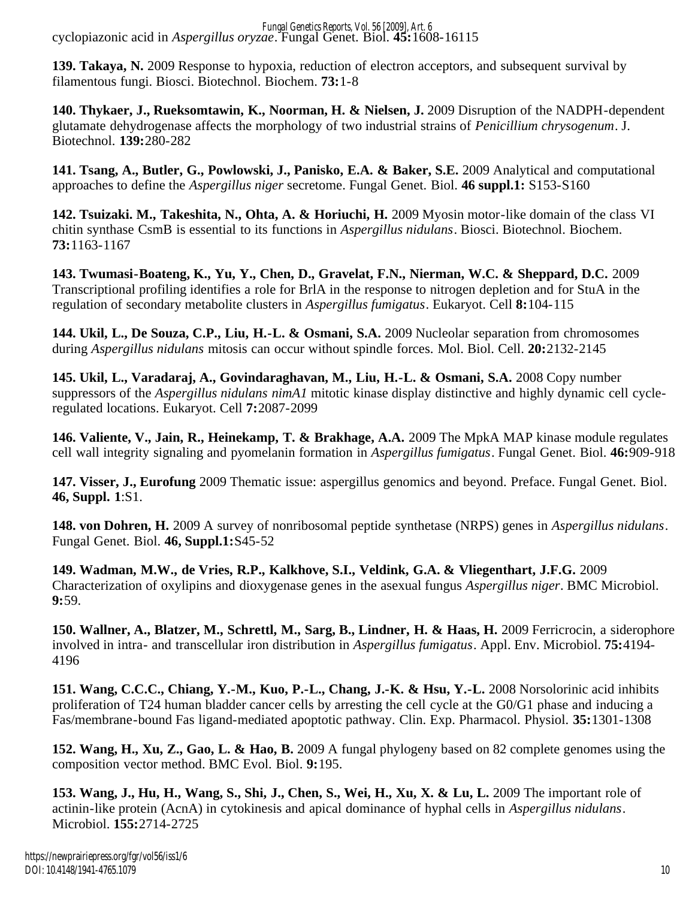cyclopiazonic acid in *Aspergillus oryzae*. Fungal Genet. Biol. **45:**1608-16115 *Fungal Genetics Reports, Vol. 56 [2009], Art. 6*

**139. Takaya, N.** 2009 Response to hypoxia, reduction of electron acceptors, and subsequent survival by filamentous fungi. Biosci. Biotechnol. Biochem. **73:**1-8

**140. Thykaer, J., Rueksomtawin, K., Noorman, H. & Nielsen, J.** 2009 Disruption of the NADPH-dependent glutamate dehydrogenase affects the morphology of two industrial strains of *Penicillium chrysogenum*. J. Biotechnol. **139:**280-282

**141. Tsang, A., Butler, G., Powlowski, J., Panisko, E.A. & Baker, S.E.** 2009 Analytical and computational approaches to define the *Aspergillus niger* secretome. Fungal Genet. Biol. **46 suppl.1:** S153-S160

**142. Tsuizaki. M., Takeshita, N., Ohta, A. & Horiuchi, H.** 2009 Myosin motor-like domain of the class VI chitin synthase CsmB is essential to its functions in *Aspergillus nidulans*. Biosci. Biotechnol. Biochem. **73:**1163-1167

**143. Twumasi-Boateng, K., Yu, Y., Chen, D., Gravelat, F.N., Nierman, W.C. & Sheppard, D.C.** 2009 Transcriptional profiling identifies a role for BrlA in the response to nitrogen depletion and for StuA in the regulation of secondary metabolite clusters in *Aspergillus fumigatus*. Eukaryot. Cell **8:**104-115

**144. Ukil, L., De Souza, C.P., Liu, H.-L. & Osmani, S.A.** 2009 Nucleolar separation from chromosomes during *Aspergillus nidulans* mitosis can occur without spindle forces. Mol. Biol. Cell. **20:**2132-2145

**145. Ukil, L., Varadaraj, A., Govindaraghavan, M., Liu, H.-L. & Osmani, S.A.** 2008 Copy number suppressors of the *Aspergillus nidulans nimA1* mitotic kinase display distinctive and highly dynamic cell cycleregulated locations. Eukaryot. Cell **7:**2087-2099

**146. Valiente, V., Jain, R., Heinekamp, T. & Brakhage, A.A.** 2009 The MpkA MAP kinase module regulates cell wall integrity signaling and pyomelanin formation in *Aspergillus fumigatus*. Fungal Genet. Biol. **46:**909-918

**147. Visser, J., Eurofung** 2009 Thematic issue: aspergillus genomics and beyond. Preface. Fungal Genet. Biol. **46, Suppl. 1**:S1.

**148. von Dohren, H.** 2009 A survey of nonribosomal peptide synthetase (NRPS) genes in *Aspergillus nidulans*. Fungal Genet. Biol. **46, Suppl.1:**S45-52

**149. Wadman, M.W., de Vries, R.P., Kalkhove, S.I., Veldink, G.A. & Vliegenthart, J.F.G.** 2009 Characterization of oxylipins and dioxygenase genes in the asexual fungus *Aspergillus niger*. BMC Microbiol. **9:**59.

**150. Wallner, A., Blatzer, M., Schrettl, M., Sarg, B., Lindner, H. & Haas, H.** 2009 Ferricrocin, a siderophore involved in intra- and transcellular iron distribution in *Aspergillus fumigatus*. Appl. Env. Microbiol. **75:**4194- 4196

**151. Wang, C.C.C., Chiang, Y.-M., Kuo, P.-L., Chang, J.-K. & Hsu, Y.-L.** 2008 Norsolorinic acid inhibits proliferation of T24 human bladder cancer cells by arresting the cell cycle at the G0/G1 phase and inducing a Fas/membrane-bound Fas ligand-mediated apoptotic pathway. Clin. Exp. Pharmacol. Physiol. **35:**1301-1308

**152. Wang, H., Xu, Z., Gao, L. & Hao, B.** 2009 A fungal phylogeny based on 82 complete genomes using the composition vector method. BMC Evol. Biol. **9:**195.

**153. Wang, J., Hu, H., Wang, S., Shi, J., Chen, S., Wei, H., Xu, X. & Lu, L.** 2009 The important role of actinin-like protein (AcnA) in cytokinesis and apical dominance of hyphal cells in *Aspergillus nidulans*. Microbiol. **155:**2714-2725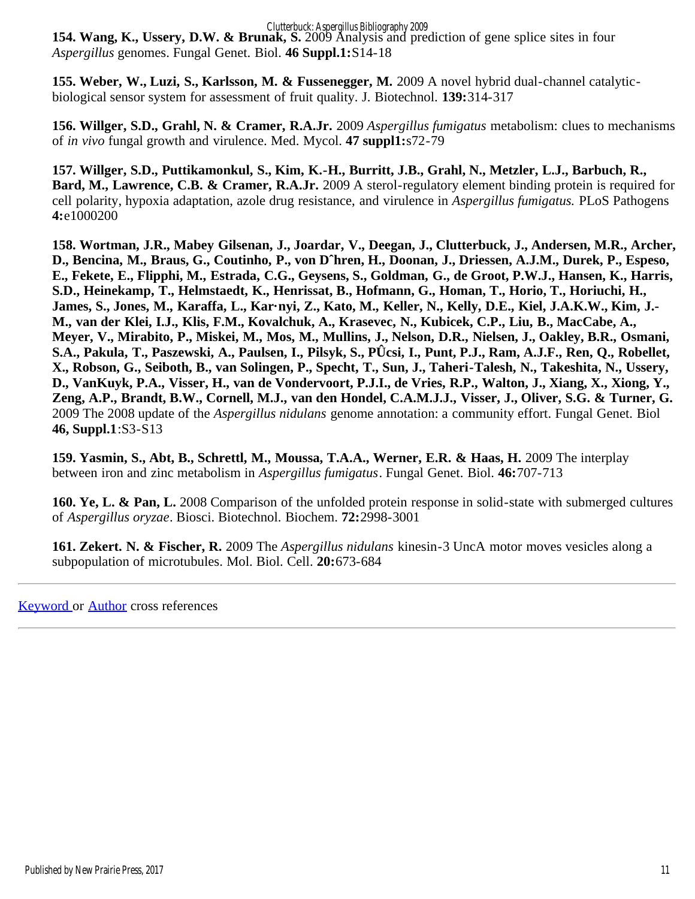Clutterbuck: Aspergillus Bibliography 2009

**154. Wang, K., Ussery, D.W. & Brunak, S.** 2009 Analysis and prediction of gene splice sites in four *Aspergillus* genomes. Fungal Genet. Biol. **46 Suppl.1:**S14-18

**155. Weber, W., Luzi, S., Karlsson, M. & Fussenegger, M.** 2009 A novel hybrid dual-channel catalyticbiological sensor system for assessment of fruit quality. J. Biotechnol. **139:**314-317

**156. Willger, S.D., Grahl, N. & Cramer, R.A.Jr.** 2009 *Aspergillus fumigatus* metabolism: clues to mechanisms of *in vivo* fungal growth and virulence. Med. Mycol. **47 suppl1:**s72-79

**157. Willger, S.D., Puttikamonkul, S., Kim, K.-H., Burritt, J.B., Grahl, N., Metzler, L.J., Barbuch, R., Bard, M., Lawrence, C.B. & Cramer, R.A.Jr.** 2009 A sterol-regulatory element binding protein is required for cell polarity, hypoxia adaptation, azole drug resistance, and virulence in *Aspergillus fumigatus.* PLoS Pathogens **4:**e1000200

**158. Wortman, J.R., Mabey Gilsenan, J., Joardar, V., Deegan, J., Clutterbuck, J., Andersen, M.R., Archer, D., Bencina, M., Braus, G., Coutinho, P., von Dˆhren, H., Doonan, J., Driessen, A.J.M., Durek, P., Espeso, E., Fekete, E., Flipphi, M., Estrada, C.G., Geysens, S., Goldman, G., de Groot, P.W.J., Hansen, K., Harris, S.D., Heinekamp, T., Helmstaedt, K., Henrissat, B., Hofmann, G., Homan, T., Horio, T., Horiuchi, H., James, S., Jones, M., Karaffa, L., Kar·nyi, Z., Kato, M., Keller, N., Kelly, D.E., Kiel, J.A.K.W., Kim, J.- M., van der Klei, I.J., Klis, F.M., Kovalchuk, A., Krasevec, N., Kubicek, C.P., Liu, B., MacCabe, A., Meyer, V., Mirabito, P., Miskei, M., Mos, M., Mullins, J., Nelson, D.R., Nielsen, J., Oakley, B.R., Osmani, S.A., Pakula, T., Paszewski, A., Paulsen, I., Pilsyk, S., PÛcsi, I., Punt, P.J., Ram, A.J.F., Ren, Q., Robellet, X., Robson, G., Seiboth, B., van Solingen, P., Specht, T., Sun, J., Taheri-Talesh, N., Takeshita, N., Ussery, D., VanKuyk, P.A., Visser, H., van de Vondervoort, P.J.I., de Vries, R.P., Walton, J., Xiang, X., Xiong, Y., Zeng, A.P., Brandt, B.W., Cornell, M.J., van den Hondel, C.A.M.J.J., Visser, J., Oliver, S.G. & Turner, G.** 2009 The 2008 update of the *Aspergillus nidulans* genome annotation: a community effort. Fungal Genet. Biol **46, Suppl.1**:S3-S13

**159. Yasmin, S., Abt, B., Schrettl, M., Moussa, T.A.A., Werner, E.R. & Haas, H.** 2009 The interplay between iron and zinc metabolism in *Aspergillus fumigatus*. Fungal Genet. Biol. **46:**707-713

**160. Ye, L. & Pan, L.** 2008 Comparison of the unfolded protein response in solid-state with submerged cultures of *Aspergillus oryzae*. Biosci. Biotechnol. Biochem. **72:**2998-3001

**161. Zekert. N. & Fischer, R.** 2009 The *Aspergillus nidulans* kinesin-3 UncA motor moves vesicles along a subpopulation of microtubules. Mol. Biol. Cell. **20:**673-684

[Keyword](#page-13-0) or [Author](#page-27-0) cross references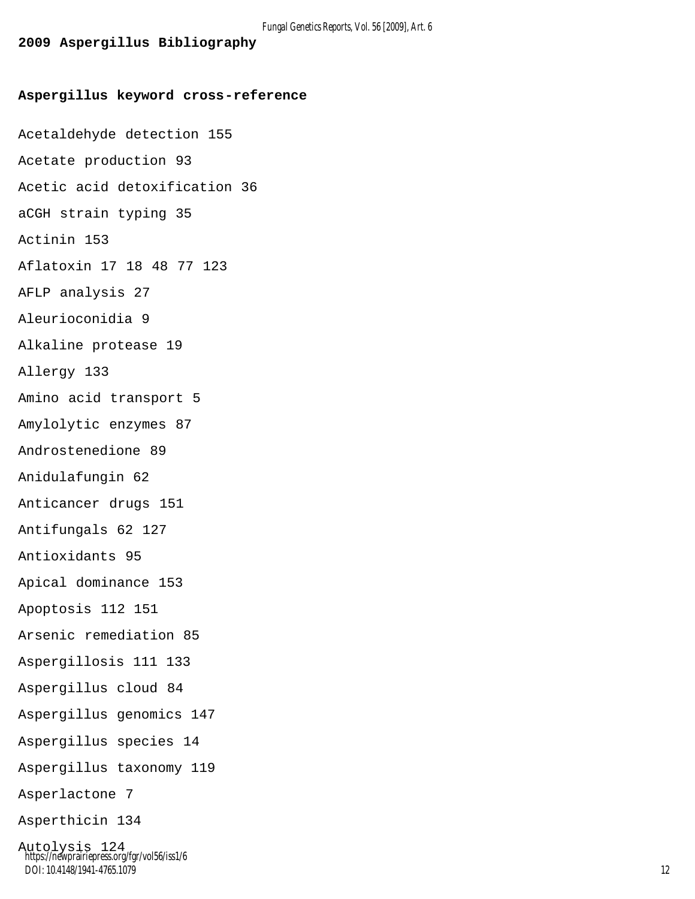# <span id="page-13-0"></span>**Aspergillus keyword cross-reference** Acetaldehyde detection 155 Acetate production 93 Acetic acid detoxification 36 aCGH strain typing 35 Actinin 153 Aflatoxin 17 18 48 77 123 AFLP analysis 27 Aleurioconidia 9 Alkaline protease 19 Allergy 133 Amino acid transport 5 Amylolytic enzymes 87 Androstenedione 89 Anidulafungin 62 Anticancer drugs 151 Antifungals 62 127 Antioxidants 95 Apical dominance 153 Apoptosis 112 151 Arsenic remediation 85 Aspergillosis 111 133 Aspergillus cloud 84 Aspergillus genomics 147 Aspergillus species 14 Aspergillus taxonomy 119 Asperlactone 7 Asperthicin 134 Autolysis 124 https://newprairiepress.org/fgr/vol56/iss1/6

DOI: 10.4148/1941-4765.1079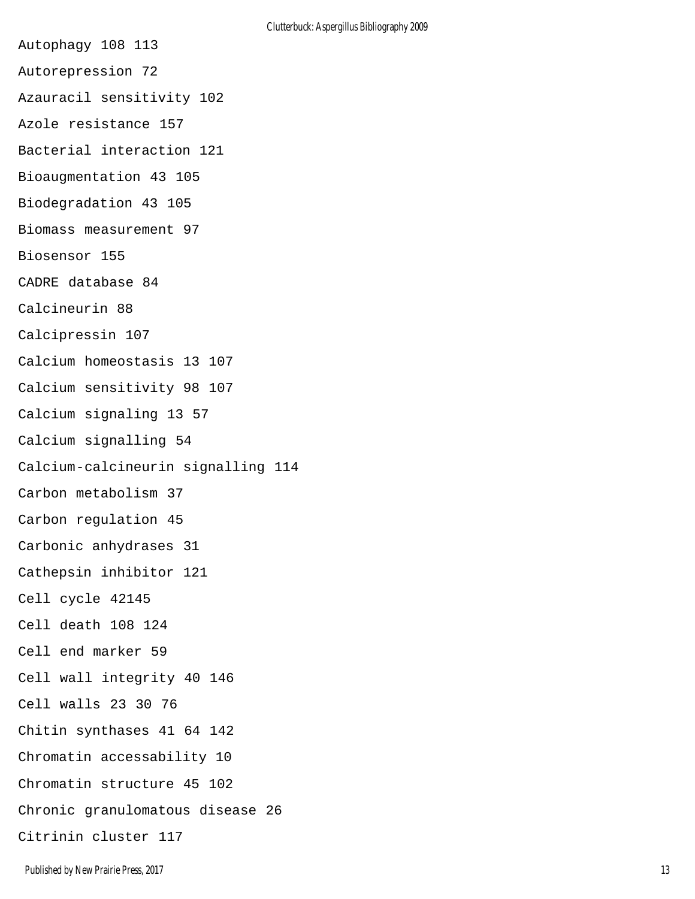- Autophagy 108 113
- Autorepression 72
- Azauracil sensitivity 102
- Azole resistance 157
- Bacterial interaction 121
- Bioaugmentation 43 105
- Biodegradation 43 105
- Biomass measurement 97
- Biosensor 155
- CADRE database 84
- Calcineurin 88
- Calcipressin 107
- Calcium homeostasis 13 107
- Calcium sensitivity 98 107
- Calcium signaling 13 57
- Calcium signalling 54
- Calcium-calcineurin signalling 114
- Carbon metabolism 37
- Carbon regulation 45
- Carbonic anhydrases 31
- Cathepsin inhibitor 121
- Cell cycle 42145
- Cell death 108 124
- Cell end marker 59
- Cell wall integrity 40 146
- Cell walls 23 30 76
- Chitin synthases 41 64 142
- Chromatin accessability 10
- Chromatin structure 45 102
- Chronic granulomatous disease 26
- Citrinin cluster 117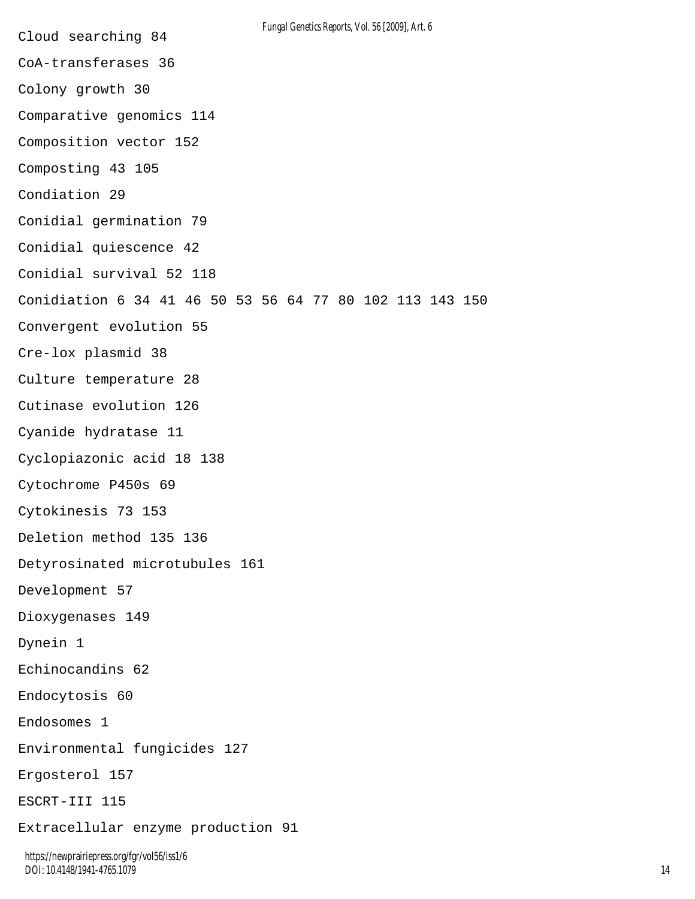Cloud searching 84 CoA-transferases 36 Colony growth 30 Comparative genomics 114 Composition vector 152 Composting 43 105 Condiation 29 Conidial germination 79 Conidial quiescence 42 Conidial survival 52 118 Conidiation 6 34 41 46 50 53 56 64 77 80 102 113 143 150 Convergent evolution 55 Cre-lox plasmid 38 Culture temperature 28 Cutinase evolution 126 Cyanide hydratase 11 Cyclopiazonic acid 18 138 Cytochrome P450s 69 Cytokinesis 73 153 Deletion method 135 136 Detyrosinated microtubules 161 Development 57 Dioxygenases 149 Dynein 1 Echinocandins 62 Endocytosis 60 Endosomes 1 Environmental fungicides 127 Ergosterol 157 ESCRT-III 115 Extracellular enzyme production 91 *Fungal Genetics Reports, Vol. 56 [2009], Art. 6*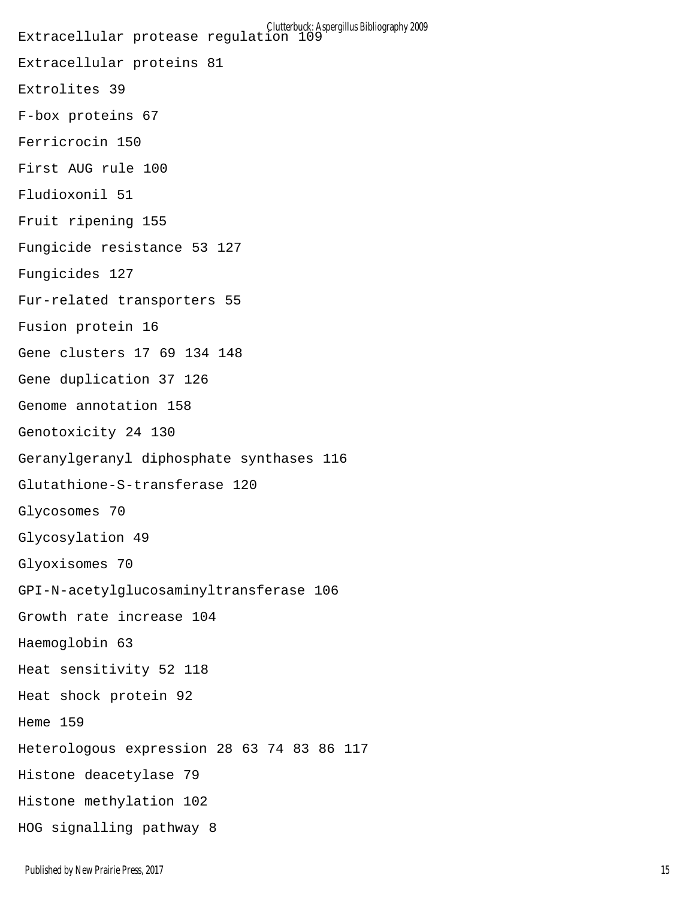Extracellular protease regulation 109 Extracellular proteins 81 Extrolites 39 F-box proteins 67 Ferricrocin 150 First AUG rule 100 Fludioxonil 51 Fruit ripening 155 Fungicide resistance 53 127 Fungicides 127 Fur-related transporters 55 Fusion protein 16 Gene clusters 17 69 134 148 Gene duplication 37 126 Genome annotation 158 Genotoxicity 24 130 Geranylgeranyl diphosphate synthases 116 Glutathione-S-transferase 120 Glycosomes 70 Glycosylation 49 Glyoxisomes 70 GPI-N-acetylglucosaminyltransferase 106 Growth rate increase 104 Haemoglobin 63 Heat sensitivity 52 118 Heat shock protein 92 Heme 159 Heterologous expression 28 63 74 83 86 117 Histone deacetylase 79 Histone methylation 102 HOG signalling pathway 8 Clutterbuck: Aspergillus Bibliography 2009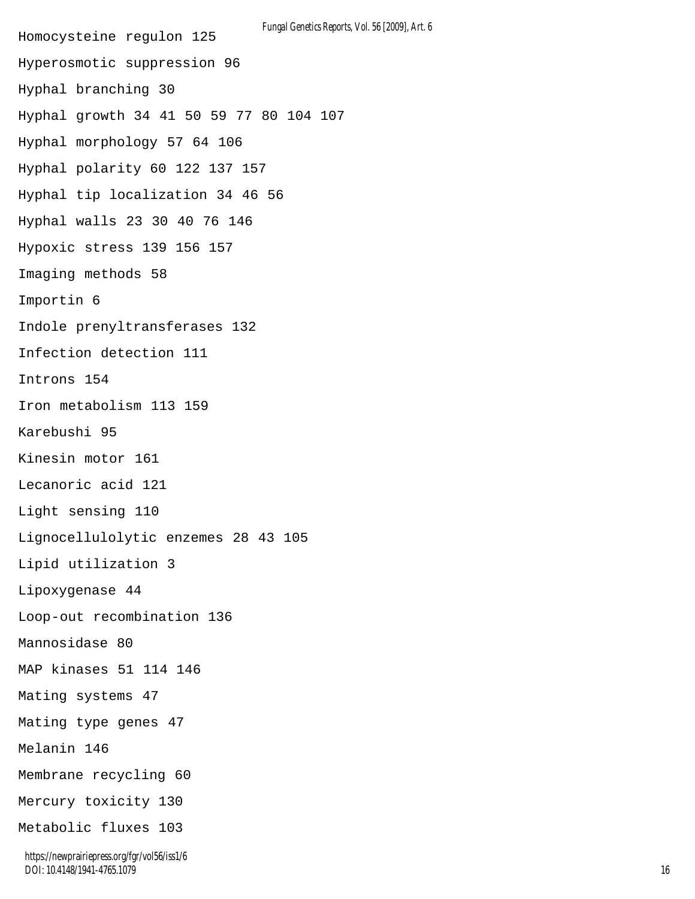Homocysteine regulon 125 Hyperosmotic suppression 96 Hyphal branching 30 Hyphal growth 34 41 50 59 77 80 104 107 Hyphal morphology 57 64 106 Hyphal polarity 60 122 137 157 Hyphal tip localization 34 46 56 Hyphal walls 23 30 40 76 146 Hypoxic stress 139 156 157 Imaging methods 58 Importin 6 Indole prenyltransferases 132 Infection detection 111 Introns 154 Iron metabolism 113 159 Karebushi 95 Kinesin motor 161 Lecanoric acid 121 Light sensing 110 Lignocellulolytic enzemes 28 43 105 Lipid utilization 3 Lipoxygenase 44 Loop-out recombination 136 Mannosidase 80 MAP kinases 51 114 146 Mating systems 47 Mating type genes 47 Melanin 146 Membrane recycling 60 Mercury toxicity 130 Metabolic fluxes 103 *Fungal Genetics Reports, Vol. 56 [2009], Art. 6*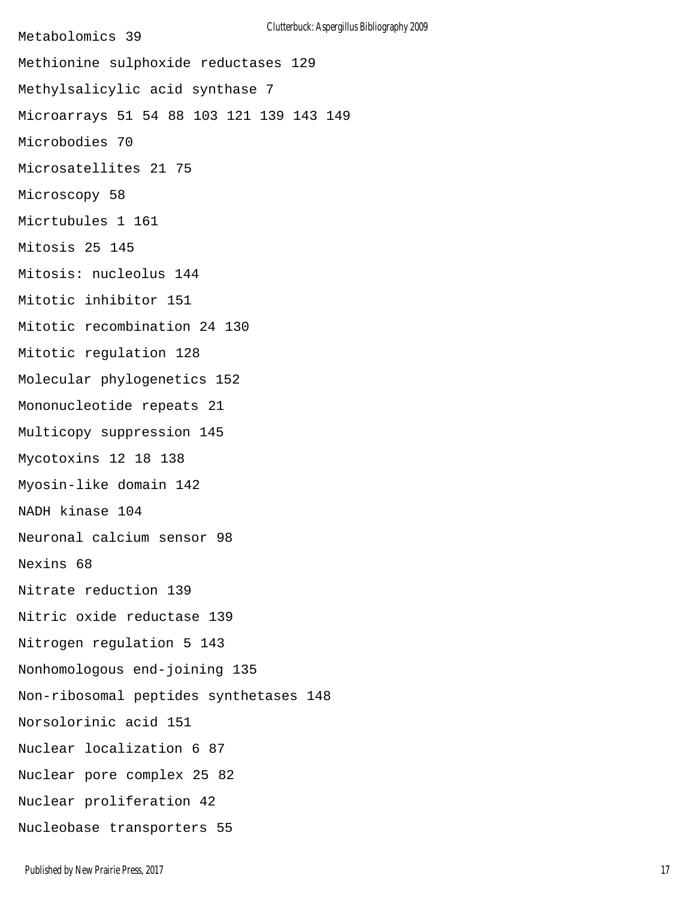Metabolomics 39 Methionine sulphoxide reductases 129 Methylsalicylic acid synthase 7 Microarrays 51 54 88 103 121 139 143 149 Microbodies 70 Microsatellites 21 75 Microscopy 58 Micrtubules 1 161 Mitosis 25 145 Mitosis: nucleolus 144 Mitotic inhibitor 151 Mitotic recombination 24 130 Mitotic regulation 128 Molecular phylogenetics 152 Mononucleotide repeats 21 Multicopy suppression 145 Mycotoxins 12 18 138 Myosin-like domain 142 NADH kinase 104 Neuronal calcium sensor 98 Nexins 68 Nitrate reduction 139 Nitric oxide reductase 139 Nitrogen regulation 5 143 Nonhomologous end-joining 135 Non-ribosomal peptides synthetases 148 Norsolorinic acid 151 Nuclear localization 6 87 Nuclear pore complex 25 82 Nuclear proliferation 42 Nucleobase transporters 55 Clutterbuck: Aspergillus Bibliography 2009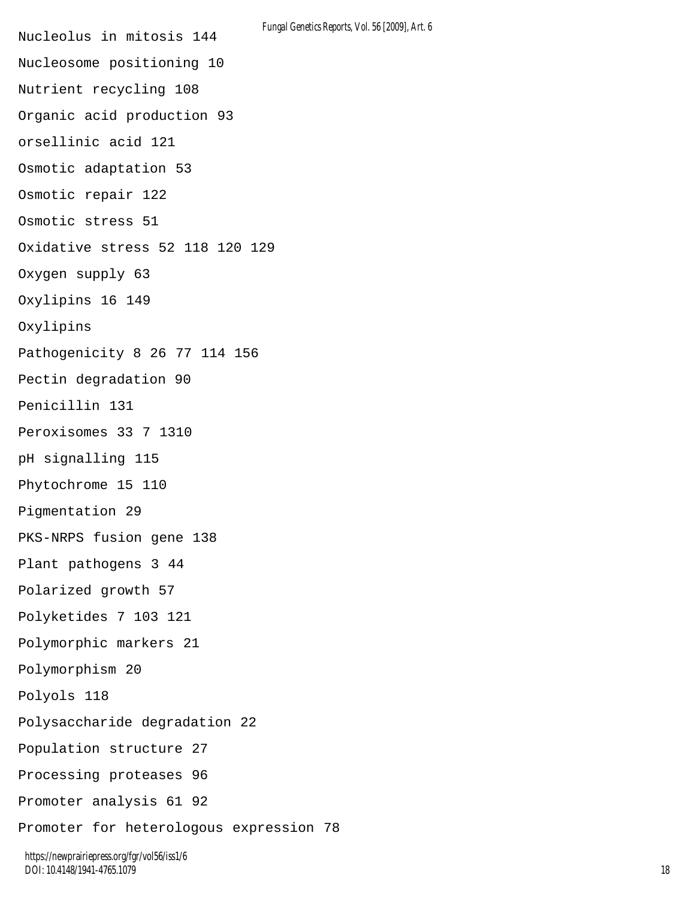Nucleolus in mitosis 144 Nucleosome positioning 10 Nutrient recycling 108 Organic acid production 93 orsellinic acid 121 Osmotic adaptation 53 Osmotic repair 122 Osmotic stress 51 Oxidative stress 52 118 120 129 Oxygen supply 63 Oxylipins 16 149 Oxylipins Pathogenicity 8 26 77 114 156 Pectin degradation 90 Penicillin 131 Peroxisomes 33 7 1310 pH signalling 115 Phytochrome 15 110 Pigmentation 29 PKS-NRPS fusion gene 138 Plant pathogens 3 44 Polarized growth 57 Polyketides 7 103 121 Polymorphic markers 21 Polymorphism 20 Polyols 118 Polysaccharide degradation 22 Population structure 27 Processing proteases 96 Promoter analysis 61 92 Promoter for heterologous expression 78 *Fungal Genetics Reports, Vol. 56 [2009], Art. 6*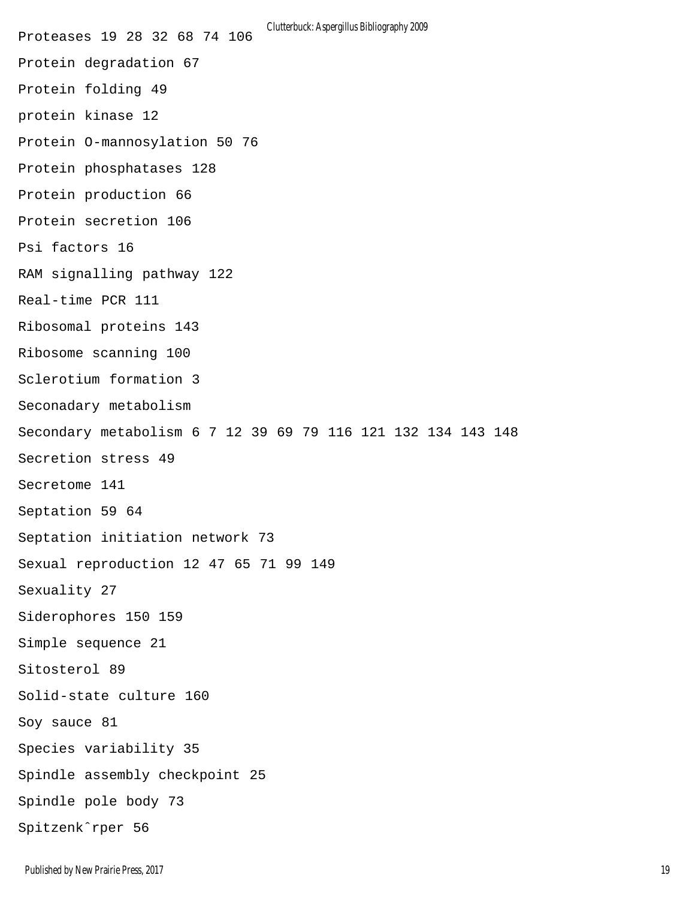Proteases 19 28 32 68 74 106 Protein degradation 67 Protein folding 49 protein kinase 12 Protein O-mannosylation 50 76 Protein phosphatases 128 Protein production 66 Protein secretion 106 Psi factors 16 RAM signalling pathway 122 Real-time PCR 111 Ribosomal proteins 143 Ribosome scanning 100 Sclerotium formation 3 Seconadary metabolism Secondary metabolism 6 7 12 39 69 79 116 121 132 134 143 148 Secretion stress 49 Secretome 141 Septation 59 64 Septation initiation network 73 Sexual reproduction 12 47 65 71 99 149 Sexuality 27 Siderophores 150 159 Simple sequence 21 Sitosterol 89 Solid-state culture 160 Soy sauce 81 Species variability 35 Spindle assembly checkpoint 25 Spindle pole body 73 Spitzenkˆrper 56 Clutterbuck: Aspergillus Bibliography 2009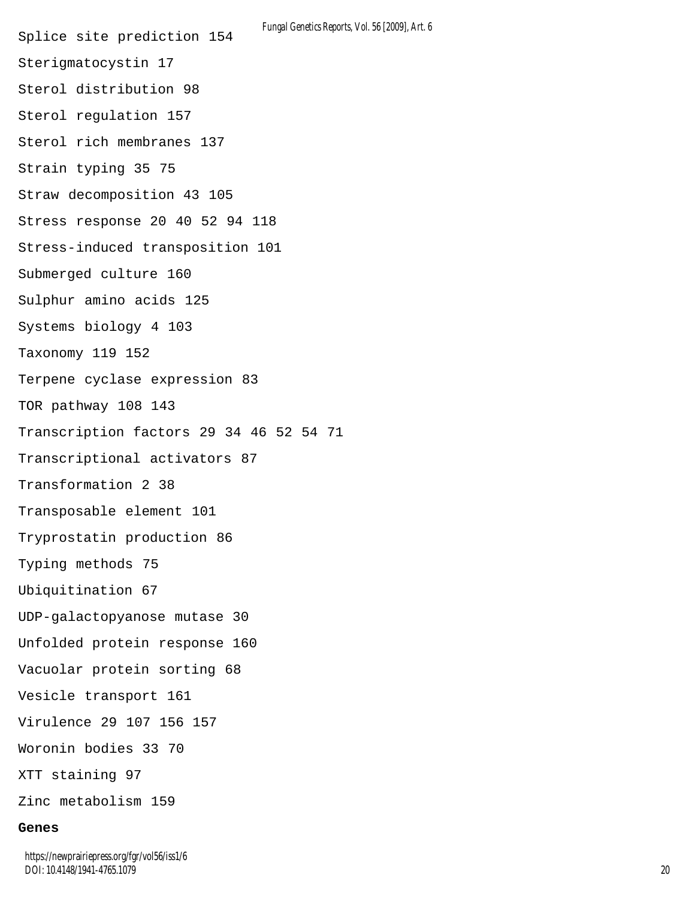Splice site prediction 154 Sterigmatocystin 17 Sterol distribution 98 Sterol regulation 157 Sterol rich membranes 137 Strain typing 35 75 Straw decomposition 43 105 Stress response 20 40 52 94 118 Stress-induced transposition 101 Submerged culture 160 Sulphur amino acids 125 Systems biology 4 103 Taxonomy 119 152 Terpene cyclase expression 83 TOR pathway 108 143 Transcription factors 29 34 46 52 54 71 Transcriptional activators 87 Transformation 2 38 Transposable element 101 Tryprostatin production 86 Typing methods 75 Ubiquitination 67 UDP-galactopyanose mutase 30 Unfolded protein response 160 Vacuolar protein sorting 68 Vesicle transport 161 Virulence 29 107 156 157 Woronin bodies 33 70 XTT staining 97 Zinc metabolism 159 *Fungal Genetics Reports, Vol. 56 [2009], Art. 6*

#### **Genes**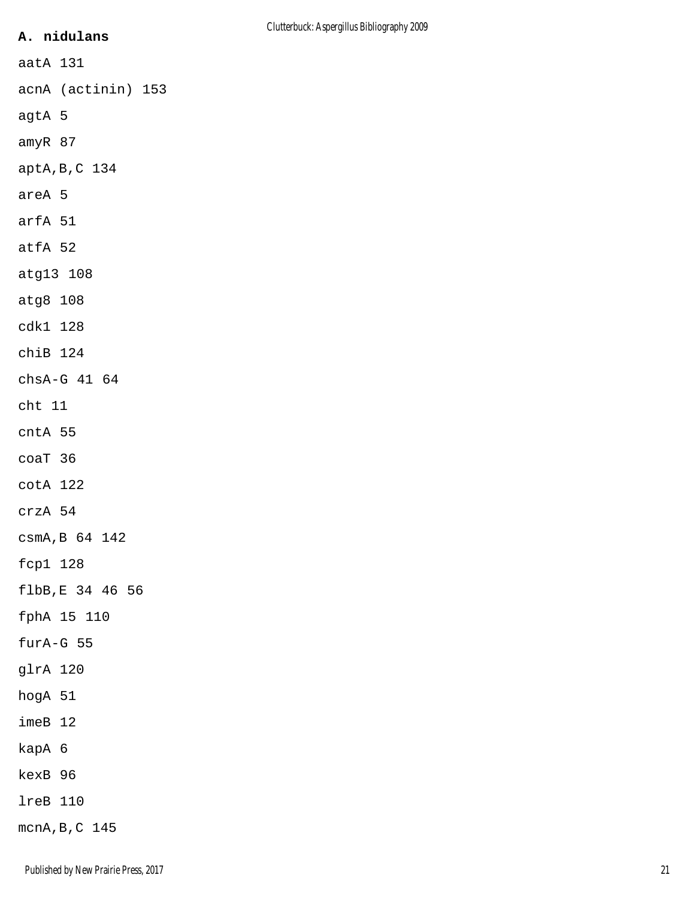# **A. nidulans**

acnA (actinin) 153

agtA 5

amyR 87

aatA 131

aptA,B,C 134

areA 5

arfA 51

atfA 52

atg13 108

atg8 108

cdk1 128

chiB 124

chsA-G 41 64

cht 11

cntA 55

coaT 36

cotA 122

crzA 54

csmA,B 64 142

fcp1 128

flbB,E 34 46 56

fphA 15 110

furA-G 55

glrA 120

hogA 51

imeB 12

kapA 6

kexB 96

lreB 110

mcnA,B,C 145

Published by New Prairie Press, 2017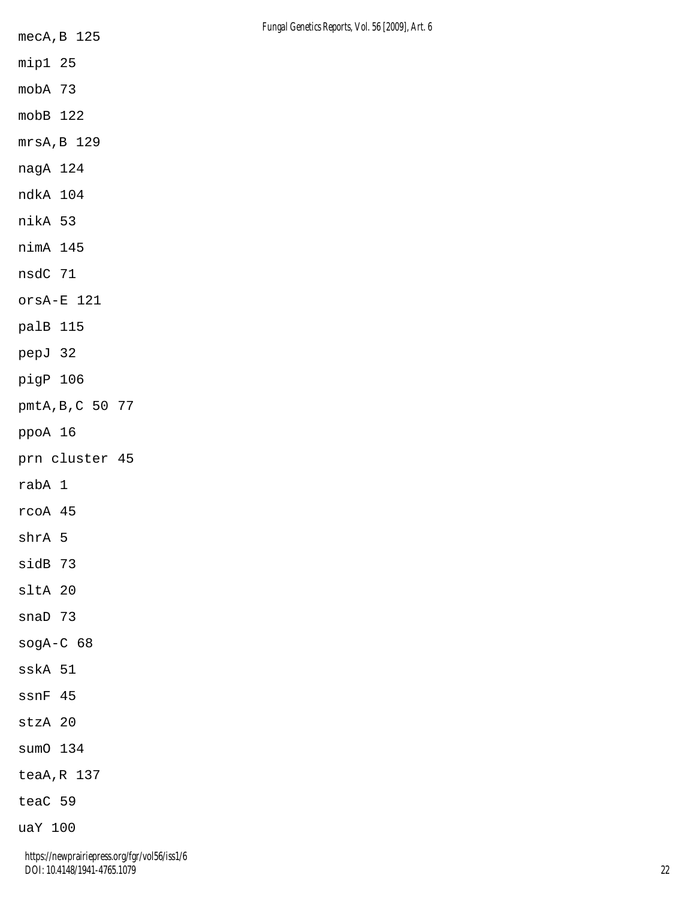- mip1 25
- mobA 73
- mobB 122
- mrsA,B 129
- nagA 124
- ndkA 104
- nikA 53
- nimA 145
- nsdC 71
- orsA-E 121
- palB 115
- pepJ 32
- pigP 106
- pmtA,B,C 50 77
- ppoA 16
- prn cluster 45
- rabA 1
- rcoA 45
- shrA 5
- sidB 73
- sltA 20
- snaD 73
- sogA-C 68
- sskA 51
- ssnF 45
- stzA 20
- sumO 134
- teaA,R 137
- teaC 59
- uaY 100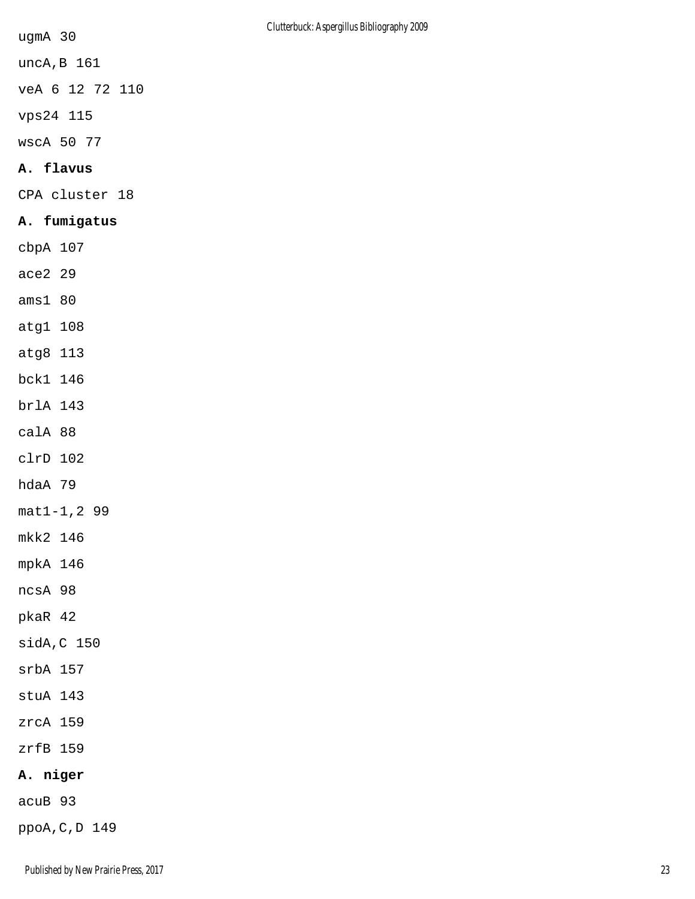ugmA 30

uncA,B 161

veA 6 12 72 110

vps24 115

wscA 50 77

# **A. flavus**

CPA cluster 18

# **A. fumigatus**

cbpA 107

- ace2 29
- ams1 80
- atg1 108
- atg8 113
- bck1 146
- brlA 143
- calA 88
- clrD 102
- hdaA 79
- mat1-1,2 99
- mkk2 146
- mpkA 146
- ncsA 98
- pkaR 42
- sidA,C 150
- srbA 157
- stuA 143
- zrcA 159
- zrfB 159

# **A. niger**

acuB 93

ppoA,C,D 149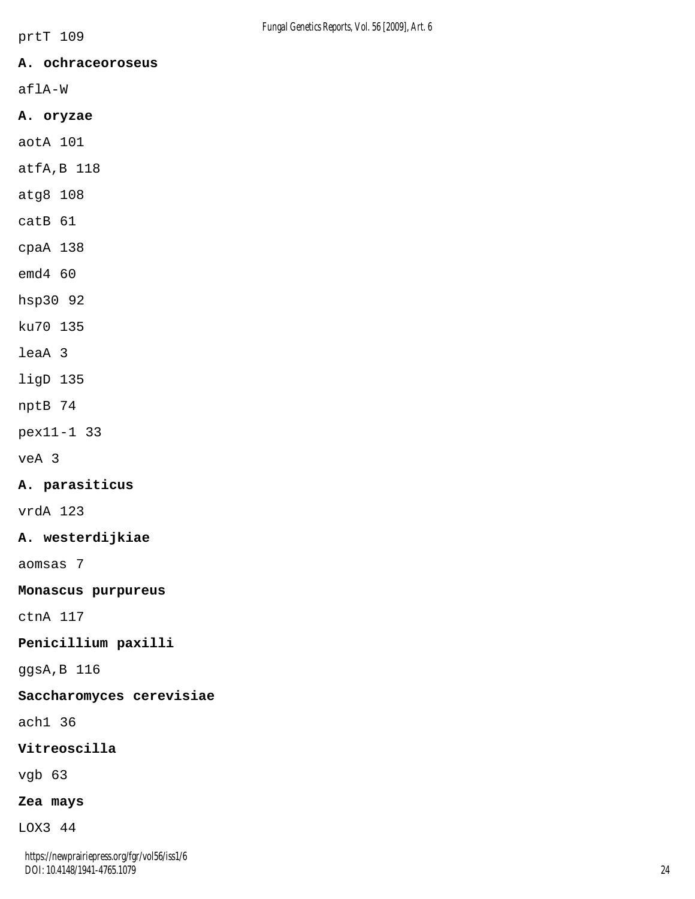#### **A. ochraceoroseus**

aflA-W

#### **A. oryzae**

aotA 101

atfA,B 118

atg8 108

catB 61

cpaA 138

emd4 60

hsp30 92

ku70 135

leaA 3

ligD 135

nptB 74

pex11-1 33

veA 3

#### **A. parasiticus**

vrdA 123

#### **A. westerdijkiae**

aomsas 7

#### **Monascus purpureus**

ctnA 117

# **Penicillium paxilli**

ggsA,B 116

## **Saccharomyces cerevisiae**

ach1 36

## **Vitreoscilla**

vgb 63

## **Zea mays**

LOX3 44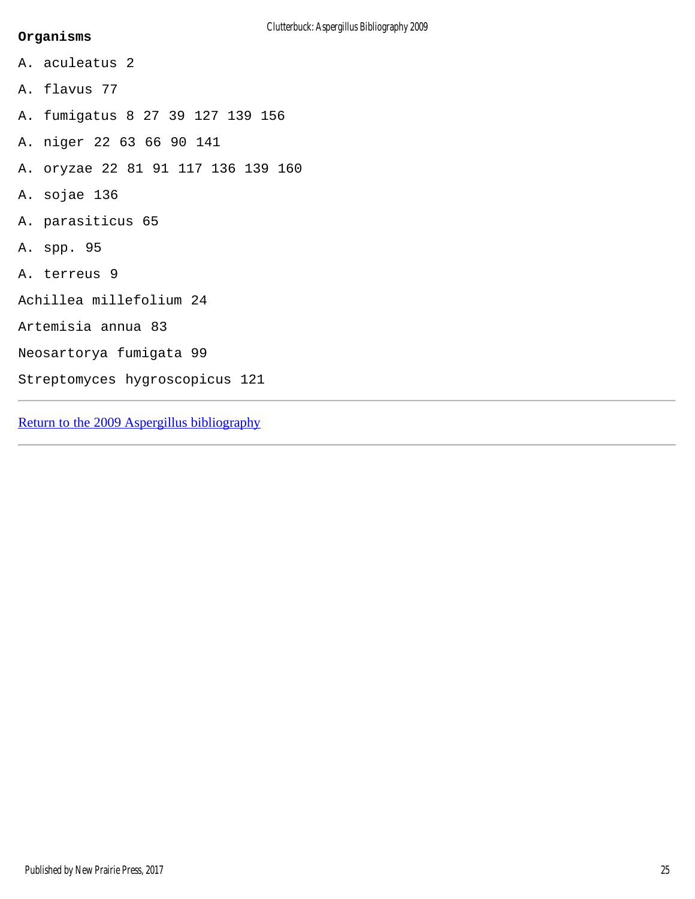# Clutterbuck: Aspergillus Bibliography 2009

#### **Organisms**

A. aculeatus 2 A. flavus 77 A. fumigatus 8 27 39 127 139 156 A. niger 22 63 66 90 141 A. oryzae 22 81 91 117 136 139 160 A. sojae 136 A. parasiticus 65 A. spp. 95 A. terreus 9 Achillea millefolium 24 Artemisia annua 83 Neosartorya fumigata 99 Streptomyces hygroscopicus 121

[Return to the 2009 Aspergillus bibliography](#page-2-0)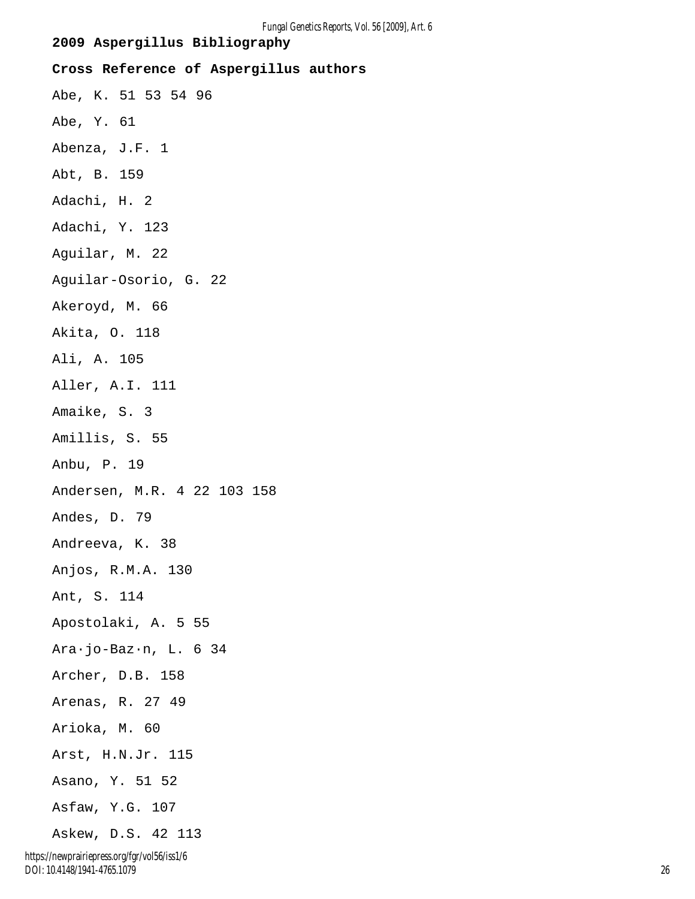<span id="page-27-0"></span>**2009 Aspergillus Bibliography Cross Reference of Aspergillus authors** Abe, K. 51 53 54 96 Abe, Y. 61 Abenza, J.F. 1 Abt, B. 159 Adachi, H. 2 Adachi, Y. 123 Aguilar, M. 22 Aguilar-Osorio, G. 22 Akeroyd, M. 66 Akita, O. 118 Ali, A. 105 Aller, A.I. 111 Amaike, S. 3 Amillis, S. 55 Anbu, P. 19 Andersen, M.R. 4 22 103 158 Andes, D. 79 Andreeva, K. 38 Anjos, R.M.A. 130 Ant, S. 114 Apostolaki, A. 5 55 Ara·jo-Baz·n, L. 6 34 Archer, D.B. 158 Arenas, R. 27 49 Arioka, M. 60 Arst, H.N.Jr. 115 Asano, Y. 51 52 Asfaw, Y.G. 107 Askew, D.S. 42 113

*Fungal Genetics Reports, Vol. 56 [2009], Art. 6*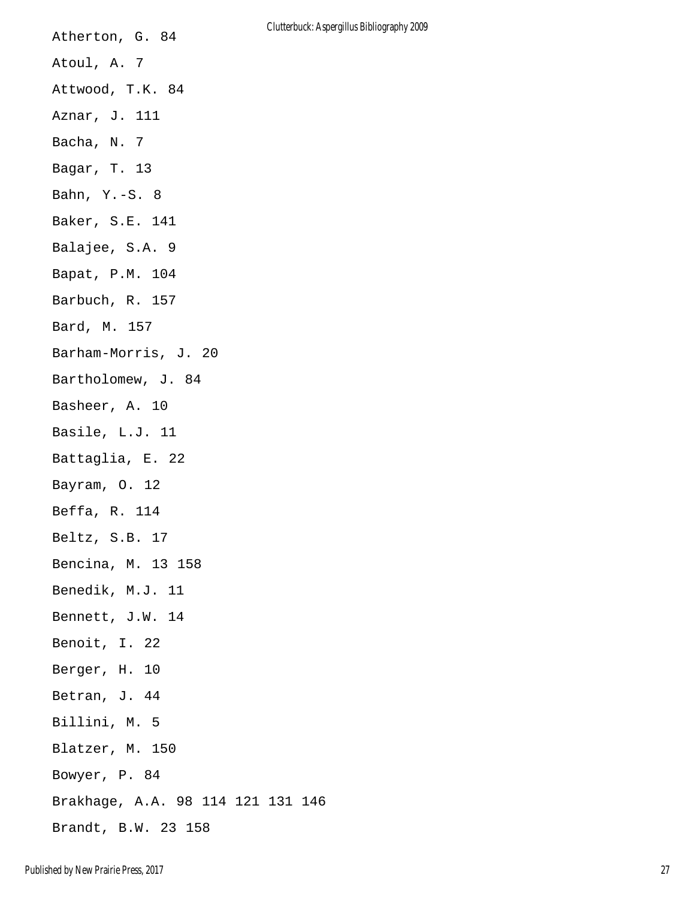| Atherton, G. 84                   | Clutterbuck: As |  |
|-----------------------------------|-----------------|--|
| Atoul, A. 7                       |                 |  |
| Attwood, T.K. 84                  |                 |  |
| Aznar, J. 111                     |                 |  |
| Bacha, N. 7                       |                 |  |
| Bagar, T. 13                      |                 |  |
| Bahn, $Y.-S. 8$                   |                 |  |
| Baker, S.E. 141                   |                 |  |
| Balajee, S.A. 9                   |                 |  |
| Bapat, P.M. 104                   |                 |  |
| Barbuch, R. 157                   |                 |  |
| Bard, M. 157                      |                 |  |
| Barham-Morris, J. 20              |                 |  |
| Bartholomew, J. 84                |                 |  |
| Basheer, A. 10                    |                 |  |
| Basile, L.J. 11                   |                 |  |
| Battaglia, E. 22                  |                 |  |
| Bayram, O. 12                     |                 |  |
| Beffa, R. 114                     |                 |  |
| Beltz, S.B. 17                    |                 |  |
| Bencina, M. 13 158                |                 |  |
| Benedik, M.J. 11                  |                 |  |
| Bennett, J.W. 14                  |                 |  |
| Benoit, I. 22                     |                 |  |
| Berger, H. 10                     |                 |  |
| Betran, J. 44                     |                 |  |
| Billini, M. 5                     |                 |  |
| Blatzer, M. 150                   |                 |  |
| Bowyer, P. 84                     |                 |  |
| Brakhage, A.A. 98 114 121 131 146 |                 |  |
| Brandt, B.W. 23 158               |                 |  |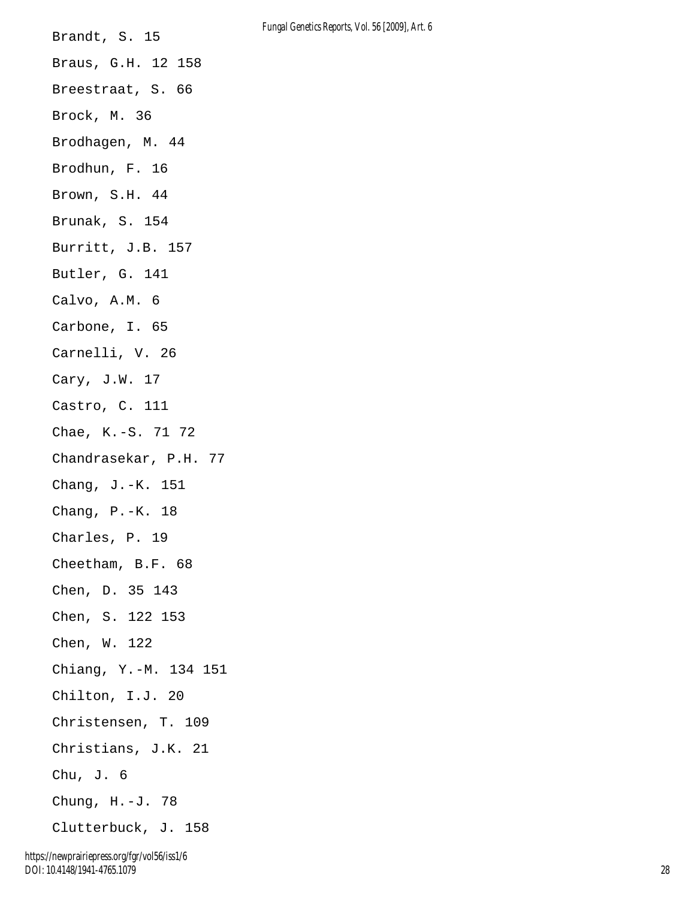Brandt, S. 15 Braus, G.H. 12 158 Breestraat, S. 66 Brock, M. 36 Brodhagen, M. 44 Brodhun, F. 16 Brown, S.H. 44 Brunak, S. 154 Burritt, J.B. 157 Butler, G. 141 Calvo, A.M. 6 Carbone, I. 65 Carnelli, V. 26 Cary, J.W. 17 Castro, C. 111 Chae, K.-S. 71 72 Chandrasekar, P.H. 77 Chang, J.-K. 151 Chang, P.-K. 18 Charles, P. 19 Cheetham, B.F. 68 Chen, D. 35 143 Chen, S. 122 153 Chen, W. 122 Chiang, Y.-M. 134 151 Chilton, I.J. 20 Christensen, T. 109 Christians, J.K. 21 Chu, J. 6 Chung, H.-J. 78 Clutterbuck, J. 158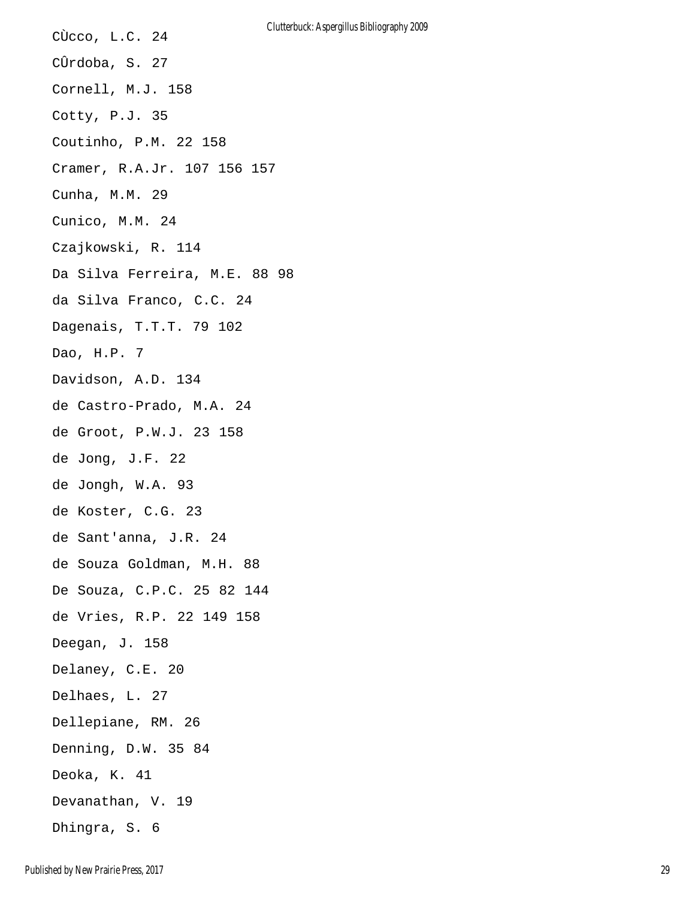CÙcco, L.C. 24 CÛrdoba, S. 27 Cornell, M.J. 158 Cotty, P.J. 35 Coutinho, P.M. 22 158 Cramer, R.A.Jr. 107 156 157 Cunha, M.M. 29 Cunico, M.M. 24 Czajkowski, R. 114 Da Silva Ferreira, M.E. 88 98 da Silva Franco, C.C. 24 Dagenais, T.T.T. 79 102 Dao, H.P. 7 Davidson, A.D. 134 de Castro-Prado, M.A. 24 de Groot, P.W.J. 23 158 de Jong, J.F. 22 de Jongh, W.A. 93 de Koster, C.G. 23 de Sant'anna, J.R. 24 de Souza Goldman, M.H. 88 De Souza, C.P.C. 25 82 144 de Vries, R.P. 22 149 158 Deegan, J. 158 Delaney, C.E. 20 Delhaes, L. 27 Dellepiane, RM. 26 Denning, D.W. 35 84 Deoka, K. 41 Devanathan, V. 19 Dhingra, S. 6 Clutterbuck: Aspergillus Bibliography 2009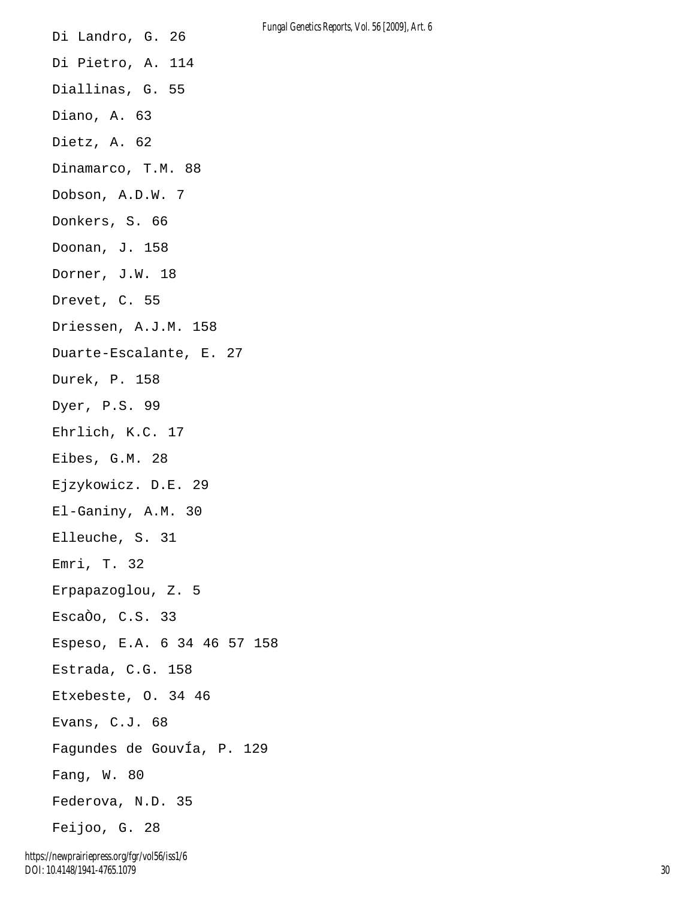Di Landro, G. 26 Di Pietro, A. 114 Diallinas, G. 55 Diano, A. 63 Dietz, A. 62 Dinamarco, T.M. 88 Dobson, A.D.W. 7 Donkers, S. 66 Doonan, J. 158 Dorner, J.W. 18 Drevet, C. 55 Driessen, A.J.M. 158 Duarte-Escalante, E. 27 Durek, P. 158 Dyer, P.S. 99 Ehrlich, K.C. 17 Eibes, G.M. 28 Ejzykowicz. D.E. 29 El-Ganiny, A.M. 30 Elleuche, S. 31 Emri, T. 32 Erpapazoglou, Z. 5 EscaÒo, C.S. 33 Espeso, E.A. 6 34 46 57 158 Estrada, C.G. 158 Etxebeste, O. 34 46 Evans, C.J. 68 Fagundes de GouvÍa, P. 129 Fang, W. 80 Federova, N.D. 35 Feijoo, G. 28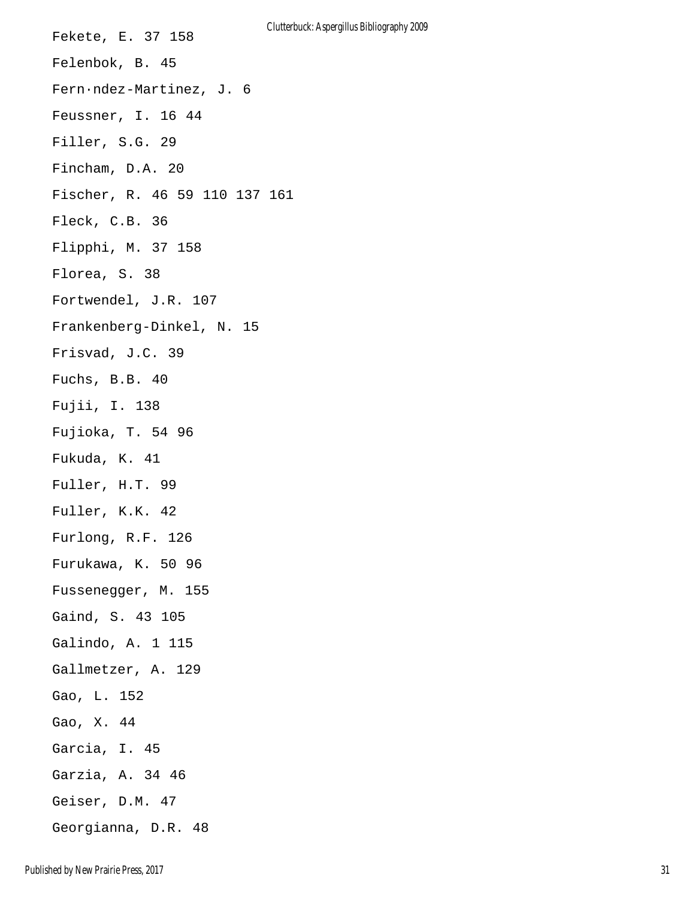Fekete, E. 37 158 Felenbok, B. 45 Fern·ndez-Martinez, J. 6 Feussner, I. 16 44 Filler, S.G. 29 Fincham, D.A. 20 Fischer, R. 46 59 110 137 161 Fleck, C.B. 36 Flipphi, M. 37 158 Florea, S. 38 Fortwendel, J.R. 107 Frankenberg-Dinkel, N. 15 Frisvad, J.C. 39 Fuchs, B.B. 40 Fujii, I. 138 Fujioka, T. 54 96 Fukuda, K. 41 Fuller, H.T. 99 Fuller, K.K. 42 Furlong, R.F. 126 Furukawa, K. 50 96 Fussenegger, M. 155 Gaind, S. 43 105 Galindo, A. 1 115 Gallmetzer, A. 129 Gao, L. 152 Gao, X. 44 Garcia, I. 45 Garzia, A. 34 46 Geiser, D.M. 47 Georgianna, D.R. 48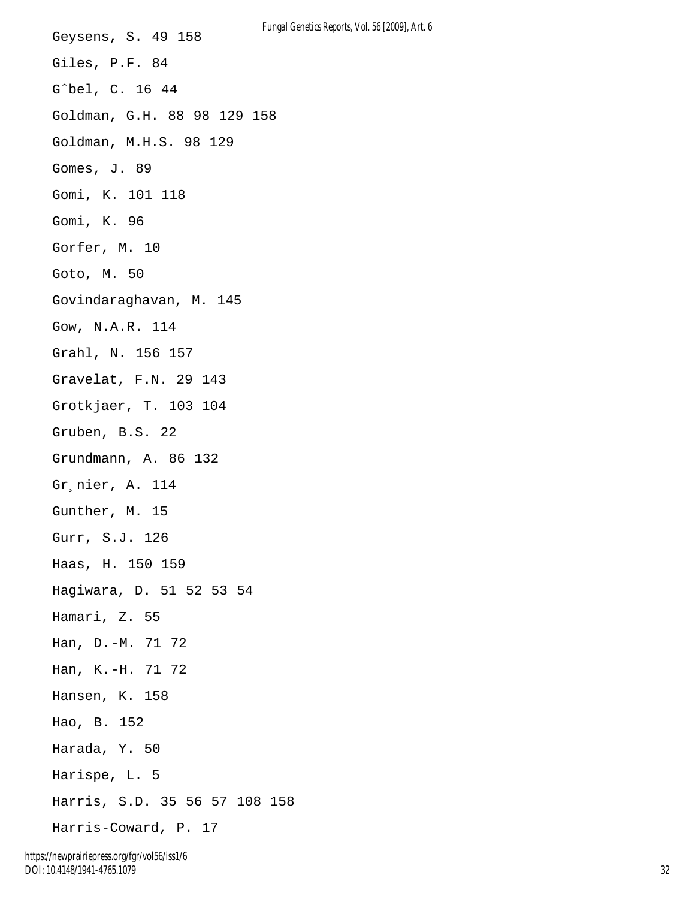Geysens, S. 49 158 Giles, P.F. 84 Gˆbel, C. 16 44 Goldman, G.H. 88 98 129 158 Goldman, M.H.S. 98 129 Gomes, J. 89 Gomi, K. 101 118 Gomi, K. 96 Gorfer, M. 10 Goto, M. 50 Govindaraghavan, M. 145 Gow, N.A.R. 114 Grahl, N. 156 157 Gravelat, F.N. 29 143 Grotkjaer, T. 103 104 Gruben, B.S. 22 Grundmann, A. 86 132 Gr¸nier, A. 114 Gunther, M. 15 Gurr, S.J. 126 Haas, H. 150 159 Hagiwara, D. 51 52 53 54 Hamari, Z. 55 Han, D.-M. 71 72 Han, K.-H. 71 72 Hansen, K. 158 Hao, B. 152 Harada, Y. 50 Harispe, L. 5 Harris, S.D. 35 56 57 108 158 Harris-Coward, P. 17

32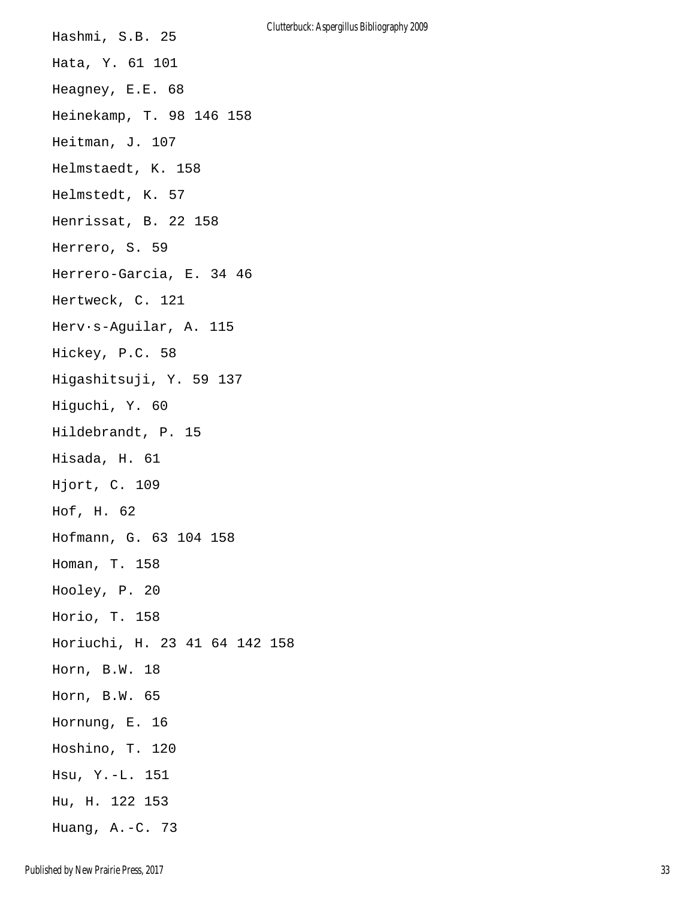Hashmi, S.B. 25 Hata, Y. 61 101 Heagney, E.E. 68 Heinekamp, T. 98 146 158 Heitman, J. 107 Helmstaedt, K. 158 Helmstedt, K. 57 Henrissat, B. 22 158 Herrero, S. 59 Herrero-Garcia, E. 34 46 Hertweck, C. 121 Herv·s-Aguilar, A. 115 Hickey, P.C. 58 Higashitsuji, Y. 59 137 Higuchi, Y. 60 Hildebrandt, P. 15 Hisada, H. 61 Hjort, C. 109 Hof, H. 62 Hofmann, G. 63 104 158 Homan, T. 158 Hooley, P. 20 Horio, T. 158 Horiuchi, H. 23 41 64 142 158 Horn, B.W. 18 Horn, B.W. 65 Hornung, E. 16 Hoshino, T. 120 Hsu, Y.-L. 151 Hu, H. 122 153 Huang, A.-C. 73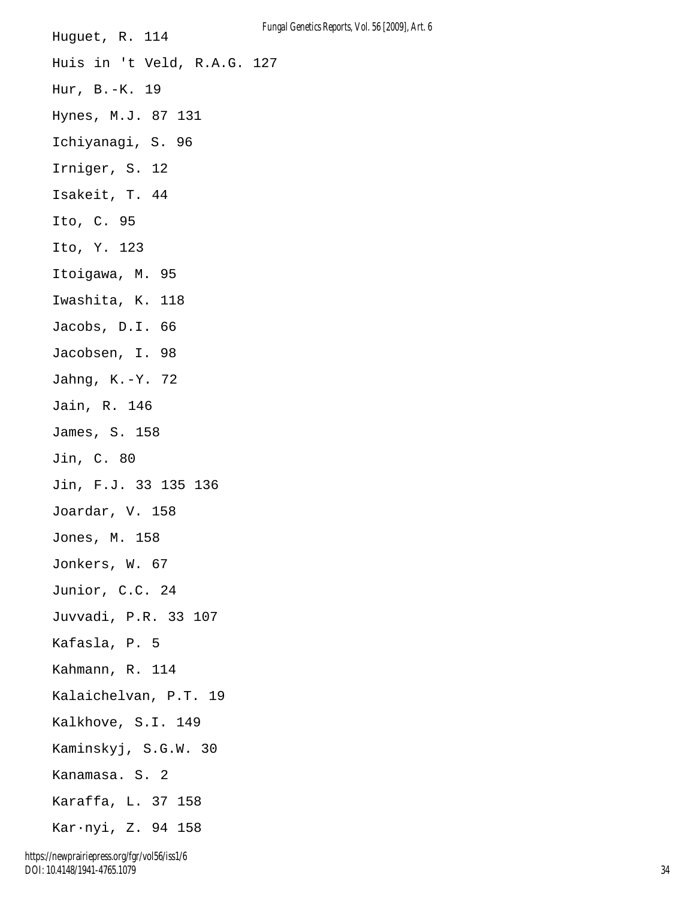Huguet, R. 114 Huis in 't Veld, R.A.G. 127 Hur, B.-K. 19 Hynes, M.J. 87 131 Ichiyanagi, S. 96 Irniger, S. 12 Isakeit, T. 44 Ito, C. 95 Ito, Y. 123 Itoigawa, M. 95 Iwashita, K. 118 Jacobs, D.I. 66 Jacobsen, I. 98 Jahng, K.-Y. 72 Jain, R. 146 James, S. 158 Jin, C. 80 Jin, F.J. 33 135 136 Joardar, V. 158 Jones, M. 158 Jonkers, W. 67 Junior, C.C. 24 Juvvadi, P.R. 33 107 Kafasla, P. 5 Kahmann, R. 114 Kalaichelvan, P.T. 19 Kalkhove, S.I. 149 Kaminskyj, S.G.W. 30 Kanamasa. S. 2 Karaffa, L. 37 158 Kar·nyi, Z. 94 158

*Fungal Genetics Reports, Vol. 56 [2009], Art. 6*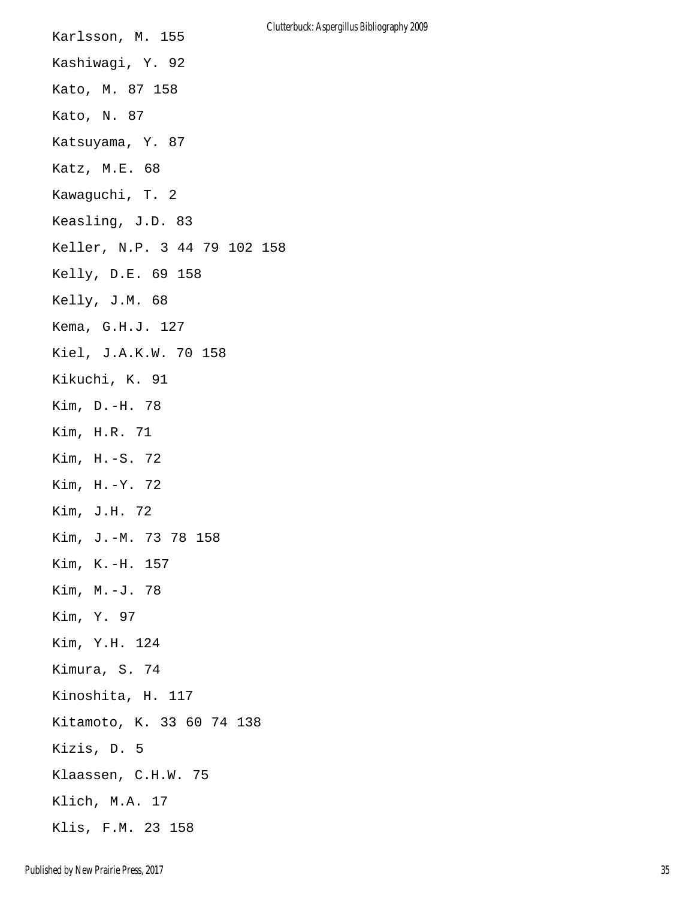| Karlsson, M. 155             | Clutterbuck: Aspergillus Bibliography 2009 |
|------------------------------|--------------------------------------------|
| Kashiwagi, Y. 92             |                                            |
| Kato, M. 87 158              |                                            |
| Kato, N. 87                  |                                            |
| Katsuyama, Y. 87             |                                            |
| Katz, M.E. 68                |                                            |
| Kawaguchi, T. 2              |                                            |
| Keasling, J.D. 83            |                                            |
| Keller, N.P. 3 44 79 102 158 |                                            |
| Kelly, D.E. 69 158           |                                            |
| Kelly, J.M. 68               |                                            |
| Kema, G.H.J. 127             |                                            |
| Kiel, J.A.K.W. 70 158        |                                            |
| Kikuchi, K. 91               |                                            |
| Kim, D.-H. 78                |                                            |
| Kim, H.R. 71                 |                                            |
| Kim, H.-S. 72                |                                            |
| Kim, H.-Y. 72                |                                            |
| Kim, J.H. 72                 |                                            |
| Kim, J.-M. 73 78 158         |                                            |
| Kim, K.-H. 157               |                                            |
| Kim, M.-J. 78                |                                            |
| Kim, Y. 97                   |                                            |
| Kim, Y.H. 124                |                                            |
| Kimura, S. 74                |                                            |
| Kinoshita, H. 117            |                                            |
| Kitamoto, K. 33 60 74 138    |                                            |
| Kizis, D. 5                  |                                            |
| Klaassen, C.H.W. 75          |                                            |
| Klich, M.A. 17               |                                            |
| Klis, F.M. 23 158            |                                            |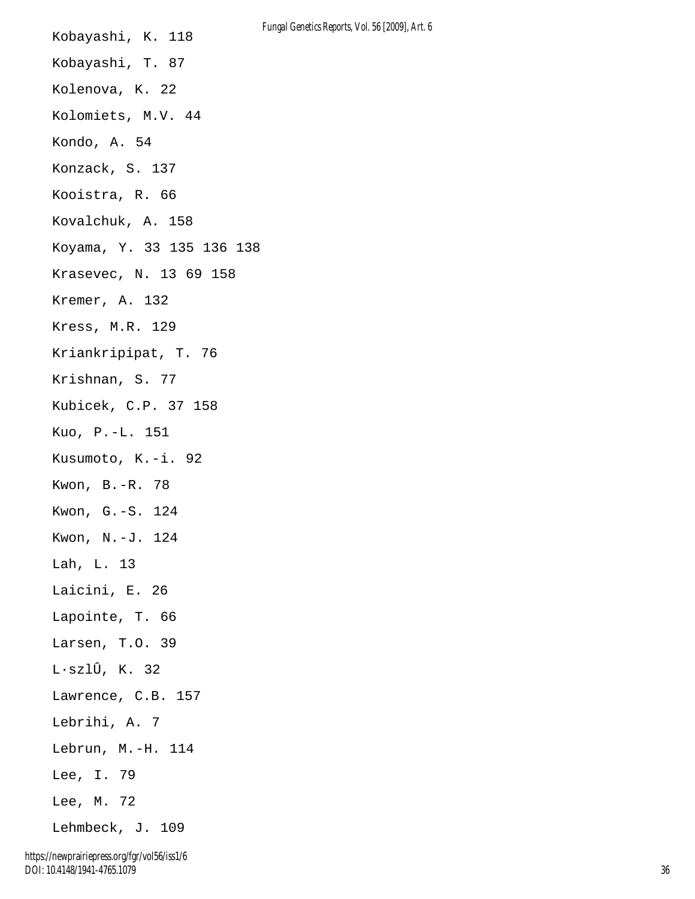| Kobayashi, K. 118                              |
|------------------------------------------------|
| Kobayashi, T. 87                               |
| Kolenova, K. 22                                |
| Kolomiets, M.V. 44                             |
| Kondo, A. 54                                   |
| Konzack, S. 137                                |
| Kooistra, R. 66                                |
| Kovalchuk, A. 158                              |
| Koyama, Y. 33 135 136 138                      |
| Krasevec, N. 13 69 158                         |
| Kremer, A. 132                                 |
| Kress, M.R. 129                                |
| Kriankripipat, T. 76                           |
| Krishnan, S. 77                                |
| Kubicek, C.P. 37 158                           |
| Kuo, P.-L. 151                                 |
| Kusumoto, K.-i. 92                             |
| Kwon, B.-R. 78                                 |
| Kwon, G.-S. 124                                |
| Kwon, N.-J. 124                                |
| Lah, L. 13                                     |
| Laicini, E. 26                                 |
| Lapointe, T. 66                                |
| Larsen, T.O. 39                                |
| $L \cdot \texttt{szl}\hat{\texttt{U}}$ , K. 32 |
| Lawrence, C.B. 157                             |
| Lebrihi, A. 7                                  |
| Lebrun, M.-H. 114                              |
| Lee, I. 79                                     |
| Lee, M. 72                                     |
| Lehmbeck, J. 109                               |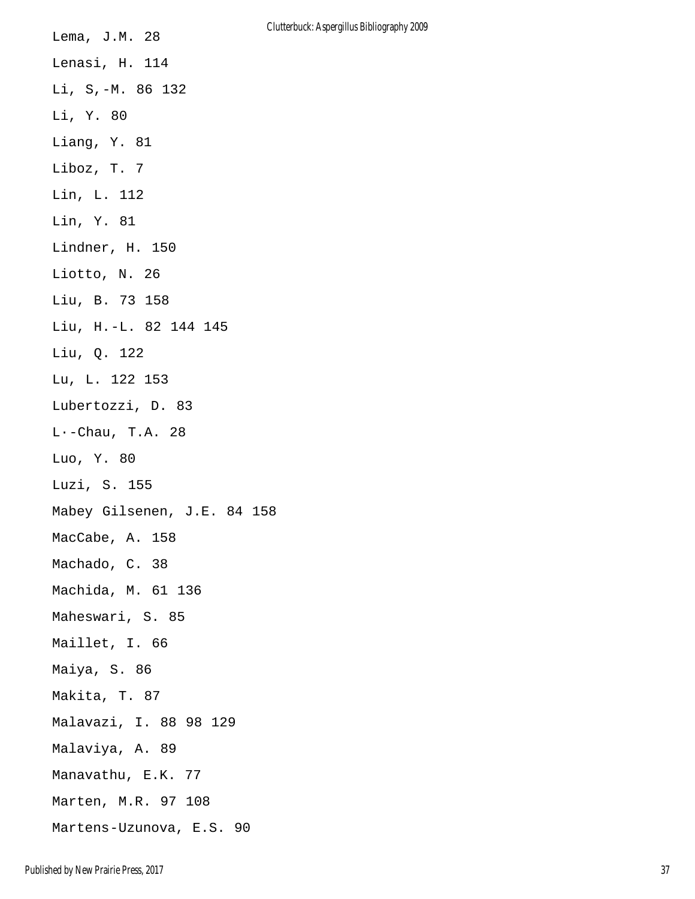Lema, J.M. 28 Lenasi, H. 114 Li, S,-M. 86 132 Li, Y. 80 Liang, Y. 81 Liboz, T. 7 Lin, L. 112 Lin, Y. 81 Lindner, H. 150 Liotto, N. 26 Liu, B. 73 158 Liu, H.-L. 82 144 145 Liu, Q. 122 Lu, L. 122 153 Lubertozzi, D. 83 L·-Chau, T.A. 28 Luo, Y. 80 Luzi, S. 155 Mabey Gilsenen, J.E. 84 158 MacCabe, A. 158 Machado, C. 38 Machida, M. 61 136 Maheswari, S. 85 Maillet, I. 66 Maiya, S. 86 Makita, T. 87 Malavazi, I. 88 98 129 Malaviya, A. 89 Manavathu, E.K. 77 Marten, M.R. 97 108 Martens-Uzunova, E.S. 90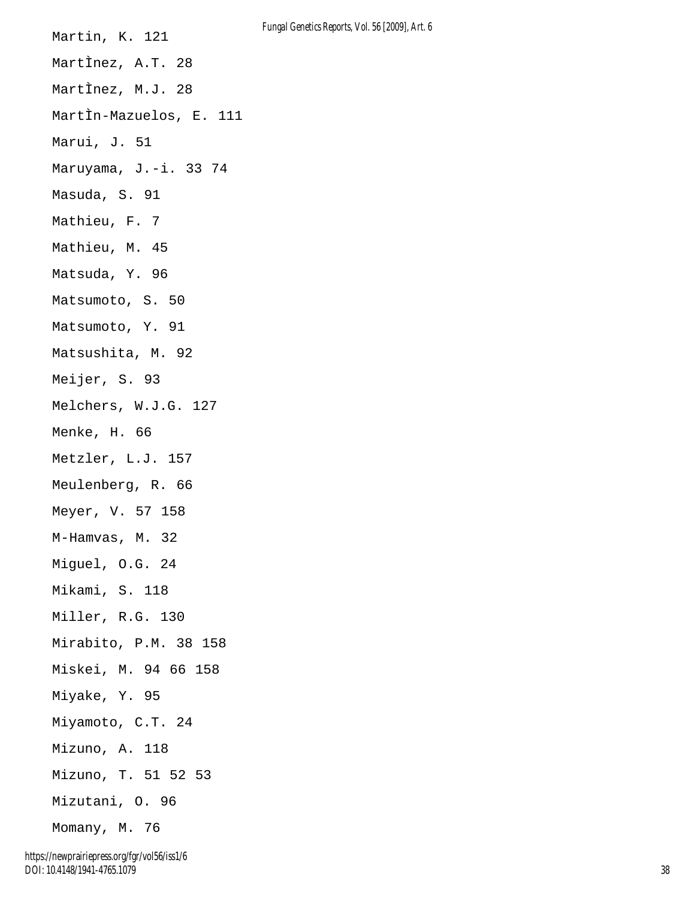Martin, K. 121 MartÌnez, A.T. 28 MartÌnez, M.J. 28 MartÌn-Mazuelos, E. 111 Marui, J. 51 Maruyama, J.-i. 33 74 Masuda, S. 91 Mathieu, F. 7 Mathieu, M. 45 Matsuda, Y. 96 Matsumoto, S. 50 Matsumoto, Y. 91 Matsushita, M. 92 Meijer, S. 93 Melchers, W.J.G. 127 Menke, H. 66 Metzler, L.J. 157 Meulenberg, R. 66 Meyer, V. 57 158 M-Hamvas, M. 32 Miguel, O.G. 24 Mikami, S. 118 Miller, R.G. 130 Mirabito, P.M. 38 158 Miskei, M. 94 66 158 Miyake, Y. 95 Miyamoto, C.T. 24 Mizuno, A. 118 Mizuno, T. 51 52 53 Mizutani, O. 96 Momany, M. 76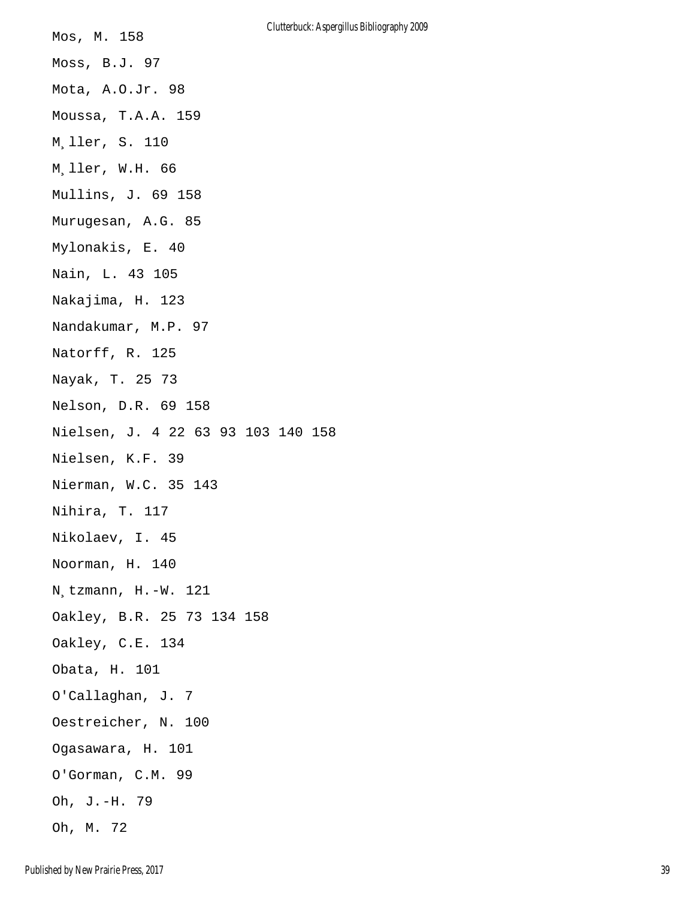| Mos, M. 158                        |
|------------------------------------|
| Moss, B.J. 97                      |
| Mota, A.O.Jr. 98                   |
| Moussa, T.A.A. 159                 |
| M.ller, S. 110                     |
| M.ller, W.H. 66                    |
| Mullins, J. 69 158                 |
| Murugesan, A.G. 85                 |
| Mylonakis, E. 40                   |
| Nain, L. 43 105                    |
| Nakajima, H. 123                   |
| Nandakumar, M.P. 97                |
| Natorff, R. 125                    |
| Nayak, T. 25 73                    |
| Nelson, D.R. 69 158                |
| Nielsen, J. 4 22 63 93 103 140 158 |
| Nielsen, K.F. 39                   |
| Nierman, W.C. 35 143               |
| Nihira, T. 117                     |
| Nikolaev, I. 45                    |
| Noorman, H. 140                    |
| N tzmann, H.-W. 121                |
| Oakley, B.R. 25 73 134 158         |
| Oakley, C.E. 134                   |
| Obata, H. 101                      |
| O'Callaghan, J. 7                  |
| Oestreicher, N. 100                |
| Ogasawara, H. 101                  |
| O'Gorman, C.M. 99                  |
| Oh, J.-H. 79                       |
| Oh, M. 72                          |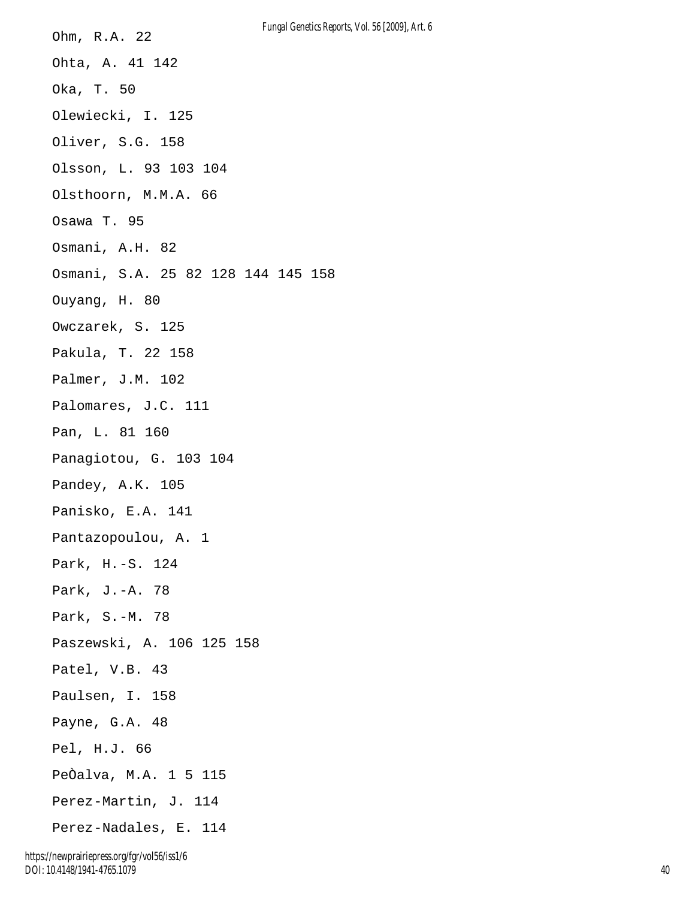| Ohm, R.A. 22                       | <b>Fungal Genetics Rep</b> |
|------------------------------------|----------------------------|
| Ohta, A. 41 142                    |                            |
| Oka, T. 50                         |                            |
| Olewiecki, I. 125                  |                            |
| Oliver, S.G. 158                   |                            |
| Olsson, L. 93 103 104              |                            |
| Olsthoorn, M.M.A. 66               |                            |
| Osawa T. 95                        |                            |
| Osmani, A.H. 82                    |                            |
| Osmani, S.A. 25 82 128 144 145 158 |                            |
| Ouyang, H. 80                      |                            |
| Owczarek, S. 125                   |                            |
| Pakula, T. 22 158                  |                            |
| Palmer, J.M. 102                   |                            |
| Palomares, J.C. 111                |                            |
| Pan, L. 81 160                     |                            |
| Panagiotou, G. 103 104             |                            |
| Pandey, A.K. 105                   |                            |
| Panisko, E.A. 141                  |                            |
| Pantazopoulou, A. 1                |                            |
| Park, H.-S. 124                    |                            |
| Park, J.-A. 78                     |                            |
| Park, S.-M. 78                     |                            |
| Paszewski, A. 106 125 158          |                            |
| Patel, V.B. 43                     |                            |
| Paulsen, I. 158                    |                            |
| Payne, G.A. 48                     |                            |
| Pel, H.J. 66                       |                            |
| PeÒalva, M.A. 1 5 115              |                            |
| Perez-Martin, J. 114               |                            |
| Perez-Nadales, E. 114              |                            |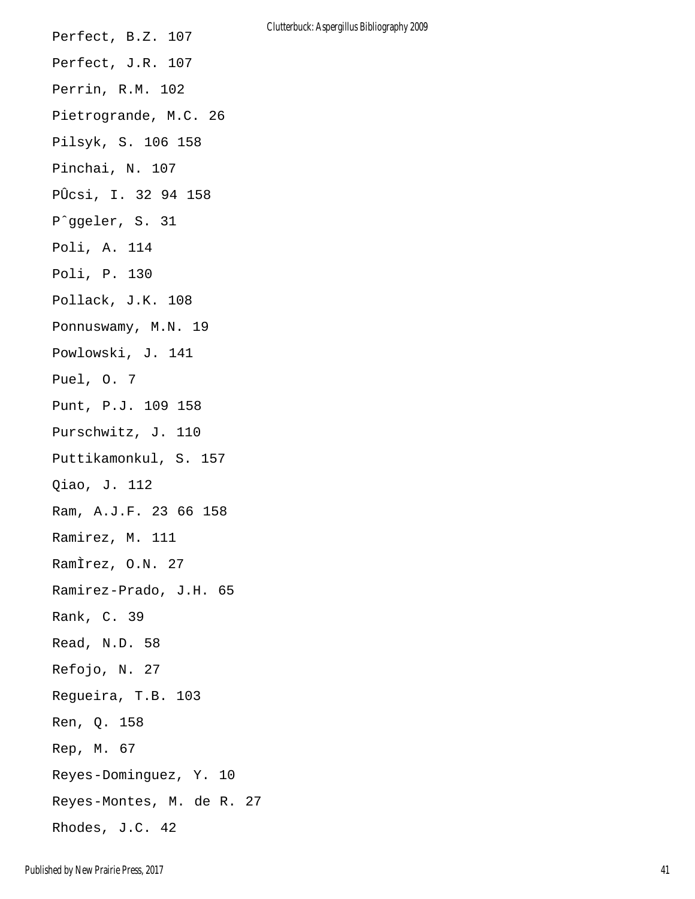Perfect, B.Z. 107 Perfect, J.R. 107 Perrin, R.M. 102 Pietrogrande, M.C. 26 Pilsyk, S. 106 158 Pinchai, N. 107 PÛcsi, I. 32 94 158 Pˆggeler, S. 31 Poli, A. 114 Poli, P. 130 Pollack, J.K. 108 Ponnuswamy, M.N. 19 Powlowski, J. 141 Puel, O. 7 Punt, P.J. 109 158 Purschwitz, J. 110 Puttikamonkul, S. 157 Qiao, J. 112 Ram, A.J.F. 23 66 158 Ramirez, M. 111 RamÌrez, O.N. 27 Ramirez-Prado, J.H. 65 Rank, C. 39 Read, N.D. 58 Refojo, N. 27 Regueira, T.B. 103 Ren, Q. 158 Rep, M. 67 Reyes-Dominguez, Y. 10 Reyes-Montes, M. de R. 27 Rhodes, J.C. 42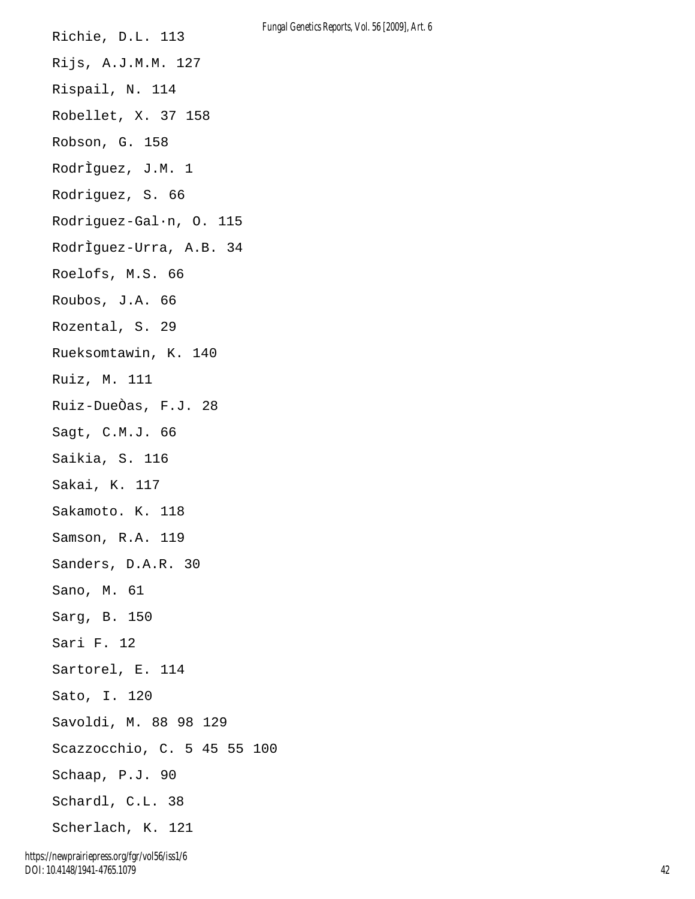Richie, D.L. 113 Rijs, A.J.M.M. 127 Rispail, N. 114 Robellet, X. 37 158 Robson, G. 158 RodrÌguez, J.M. 1 Rodriguez, S. 66 Rodriguez-Gal·n, O. 115 RodrÌguez-Urra, A.B. 34 Roelofs, M.S. 66 Roubos, J.A. 66 Rozental, S. 29 Rueksomtawin, K. 140 Ruiz, M. 111 Ruiz-DueÒas, F.J. 28 Sagt, C.M.J. 66 Saikia, S. 116 Sakai, K. 117 Sakamoto. K. 118 Samson, R.A. 119 Sanders, D.A.R. 30 Sano, M. 61 Sarg, B. 150 Sari F. 12 Sartorel, E. 114 Sato, I. 120 Savoldi, M. 88 98 129 Scazzocchio, C. 5 45 55 100 Schaap, P.J. 90 Schardl, C.L. 38 Scherlach, K. 121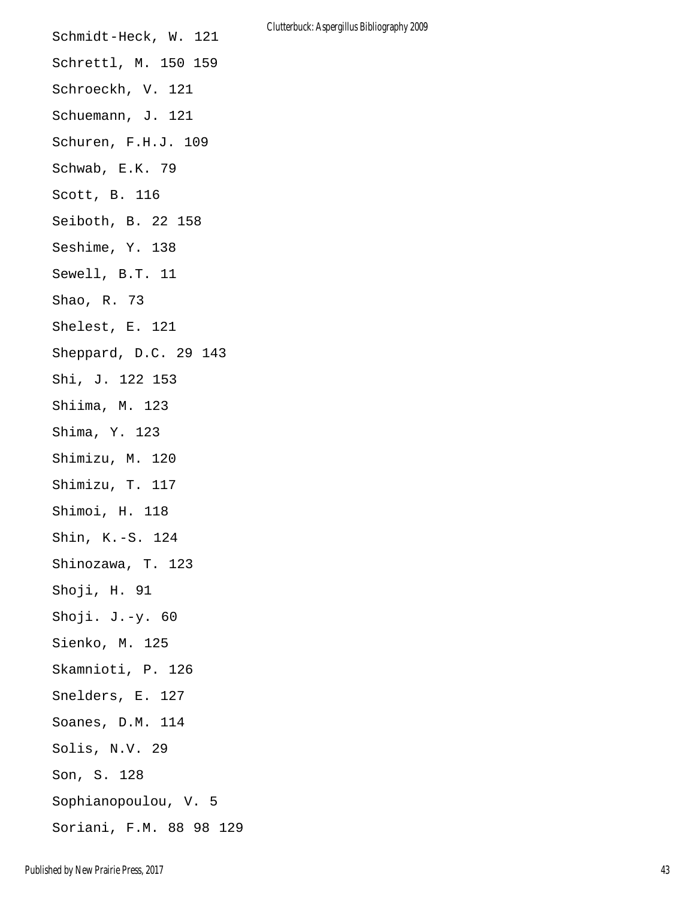| Schmidt-Heck, W. 121    |
|-------------------------|
| Schrettl, M. 150 159    |
| Schroeckh, V. 121       |
| Schuemann, J. 121       |
| Schuren, F.H.J. 109     |
| Schwab, E.K. 79         |
| Scott, B. 116           |
| Seiboth, B. 22 158      |
| Seshime, Y. 138         |
| Sewell, B.T. 11         |
| Shao, R. 73             |
| Shelest, E. 121         |
| Sheppard, D.C. 29 143   |
| Shi, J. 122 153         |
| Shiima, M. 123          |
| Shima, Y. 123           |
| Shimizu, M. 120         |
| Shimizu, T. 117         |
| Shimoi, H. 118          |
| Shin, K.-S. 124         |
| Shinozawa, T. 123       |
| Shoji, H. 91            |
| Shoji. $J.-y.60$        |
| Sienko, M. 125          |
| Skamnioti, P. 126       |
| Snelders, E. 127        |
| Soanes, D.M. 114        |
| Solis, N.V. 29          |
| Son, S. 128             |
| Sophianopoulou, V. 5    |
| Soriani, F.M. 88 98 129 |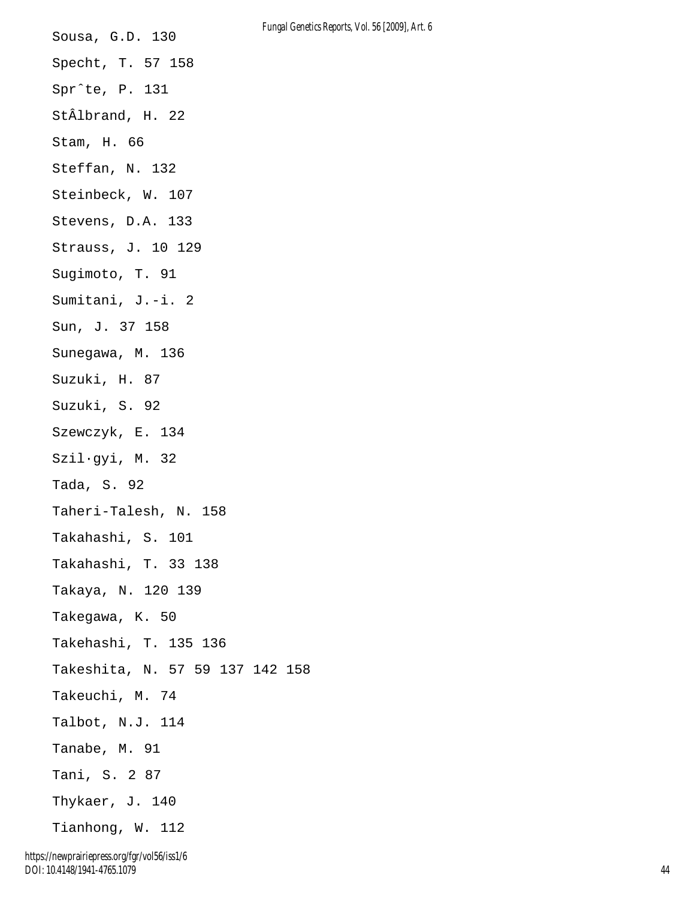Sousa, G.D. 130 Specht, T. 57 158 Sprˆte, P. 131 StÂlbrand, H. 22 Stam, H. 66 Steffan, N. 132 Steinbeck, W. 107 Stevens, D.A. 133 Strauss, J. 10 129 Sugimoto, T. 91 Sumitani, J.-i. 2 Sun, J. 37 158 Sunegawa, M. 136 Suzuki, H. 87 Suzuki, S. 92 Szewczyk, E. 134 Szil·gyi, M. 32 Tada, S. 92 Taheri-Talesh, N. 158 Takahashi, S. 101 Takahashi, T. 33 138 Takaya, N. 120 139 Takegawa, K. 50 Takehashi, T. 135 136 Takeshita, N. 57 59 137 142 158 Takeuchi, M. 74 Talbot, N.J. 114 Tanabe, M. 91 Tani, S. 2 87 Thykaer, J. 140 Tianhong, W. 112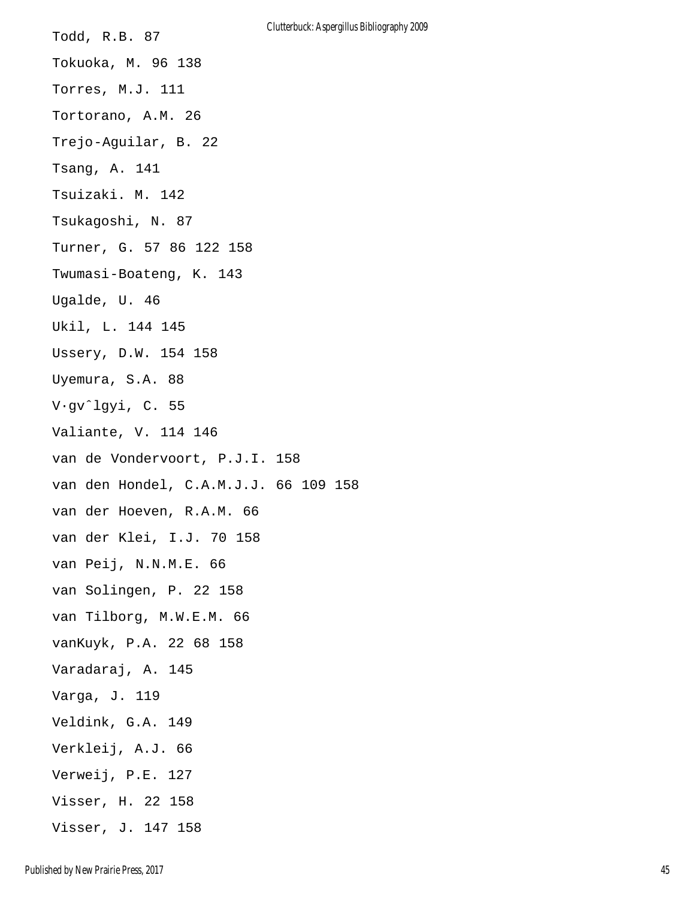Todd, R.B. 87 Tokuoka, M. 96 138 Torres, M.J. 111 Tortorano, A.M. 26 Trejo-Aguilar, B. 22 Tsang, A. 141 Tsuizaki. M. 142 Tsukagoshi, N. 87 Turner, G. 57 86 122 158 Twumasi-Boateng, K. 143 Ugalde, U. 46 Ukil, L. 144 145 Ussery, D.W. 154 158 Uyemura, S.A. 88 V·gvˆlgyi, C. 55 Valiante, V. 114 146 van de Vondervoort, P.J.I. 158 van den Hondel, C.A.M.J.J. 66 109 158 van der Hoeven, R.A.M. 66 van der Klei, I.J. 70 158 van Peij, N.N.M.E. 66 van Solingen, P. 22 158 van Tilborg, M.W.E.M. 66 vanKuyk, P.A. 22 68 158 Varadaraj, A. 145 Varga, J. 119 Veldink, G.A. 149 Verkleij, A.J. 66 Verweij, P.E. 127 Visser, H. 22 158 Visser, J. 147 158 Clutterbuck: Aspergillus Bibliography 2009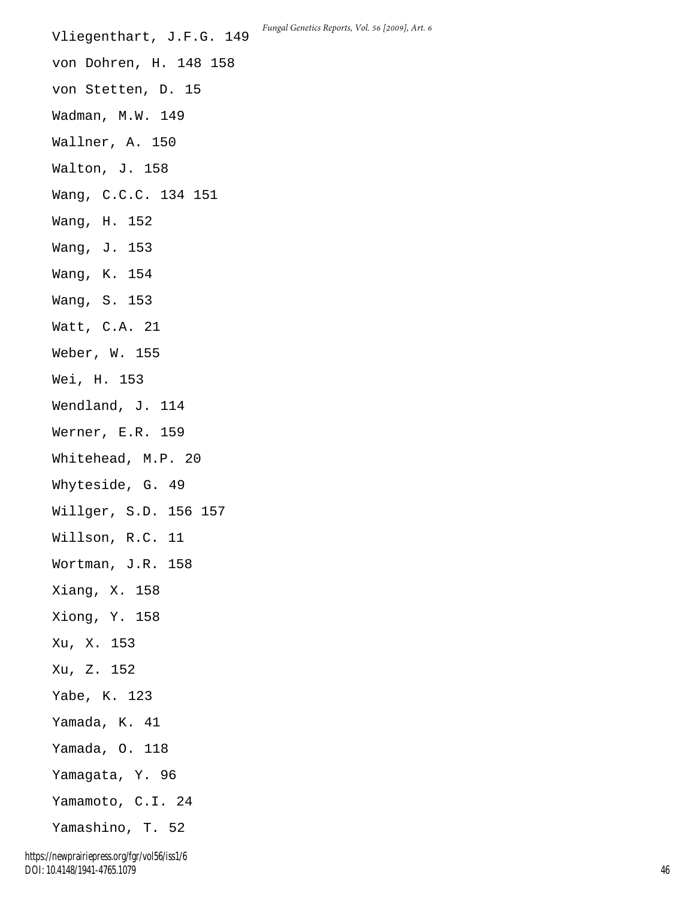Vliegenthart, J.F.G. 149 von Dohren, H. 148 158 von Stetten, D. 15 Wadman, M.W. 149 Wallner, A. 150 Walton, J. 158 Wang, C.C.C. 134 151 Wang, H. 152 Wang, J. 153 Wang, K. 154 Wang, S. 153 Watt, C.A. 21 Weber, W. 155 Wei, H. 153 Wendland, J. 114 Werner, E.R. 159 Whitehead, M.P. 20 Whyteside, G. 49 Willger, S.D. 156 157 Willson, R.C. 11 Wortman, J.R. 158 Xiang, X. 158 Xiong, Y. 158 Xu, X. 153 Xu, Z. 152 Yabe, K. 123 Yamada, K. 41 Yamada, O. 118 Yamagata, Y. 96 Yamamoto, C.I. 24 Yamashino, T. 52